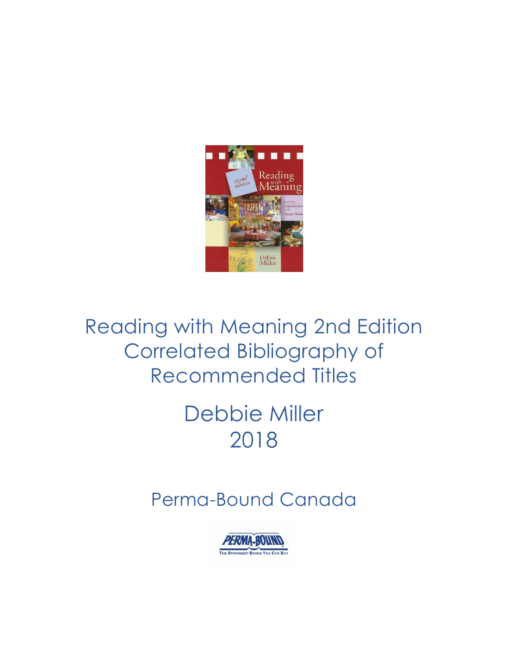

# Reading with Meaning 2nd Edition Correlated Bibliography of Recommended Titles

# Debbie Miller 2018

## Perma-Bound Canada

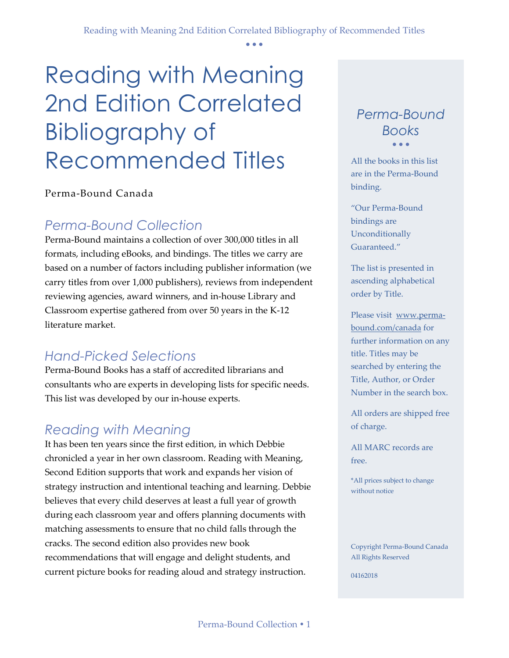• • •

# Reading with Meaning 2nd Edition Correlated Bibliography of Recommended Titles

Perma-Bound Canada

## *Perma-Bound Collection*

Perma-Bound maintains a collection of over 300,000 titles in all formats, including eBooks, and bindings. The titles we carry are based on a number of factors including publisher information (we carry titles from over 1,000 publishers), reviews from independent reviewing agencies, award winners, and in-house Library and Classroom expertise gathered from over 50 years in the K-12 literature market.

## *Hand-Picked Selections*

Perma-Bound Books has a staff of accredited librarians and consultants who are experts in developing lists for specific needs. This list was developed by our in-house experts.

## *Reading with Meaning*

It has been ten years since the first edition, in which Debbie chronicled a year in her own classroom. Reading with Meaning, Second Edition supports that work and expands her vision of strategy instruction and intentional teaching and learning. Debbie believes that every child deserves at least a full year of growth during each classroom year and offers planning documents with matching assessments to ensure that no child falls through the cracks. The second edition also provides new book recommendations that will engage and delight students, and current picture books for reading aloud and strategy instruction.

#### *Perma-Bound Books* • • •

All the books in this list are in the Perma-Bound binding.

"Our Perma-Bound bindings are Unconditionally Guaranteed."

The list is presented in ascending alphabetical order by Title.

Please visit [www.perma](http://www.perma-bound.com/)[bound.com/](http://www.perma-bound.com/)canada for further information on any title. Titles may be searched by entering the Title, Author, or Order Number in the search box.

All orders are shipped free of charge.

All MARC records are free.

\*All prices subject to change without notice

Copyright Perma-Bound Canada All Rights Reserved

04162018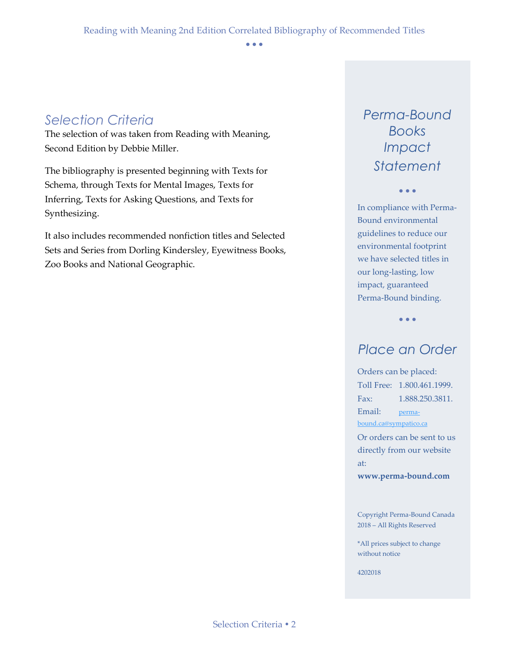• • •

## *Selection Criteria*

The selection of was taken from Reading with Meaning, Second Edition by Debbie Miller.

The bibliography is presented beginning with Texts for Schema, through Texts for Mental Images, Texts for Inferring, Texts for Asking Questions, and Texts for Synthesizing.

It also includes recommended nonfiction titles and Selected Sets and Series from Dorling Kindersley, Eyewitness Books, Zoo Books and National Geographic.

## *Perma-Bound Books Impact Statement*

• • •

In compliance with Perma-Bound environmental guidelines to reduce our environmental footprint we have selected titles in our long-lasting, low impact, guaranteed Perma-Bound binding.

• • •

## *Place an Order*

Orders can be placed: Toll Free: 1.800.461.1999. Fax: 1.888.250.3811. Email: [perma](mailto:perma-bound.ca@sympatico.ca)[bound.ca@sympatico.ca](mailto:perma-bound.ca@sympatico.ca)

Or orders can be sent to us directly from our website at:

**www.perma-bound.com**

Copyright Perma-Bound Canada 2018 – All Rights Reserved

\*All prices subject to change without notice

4202018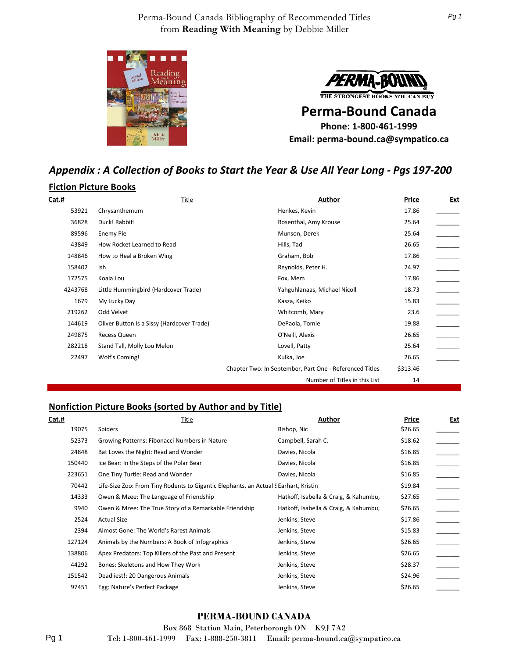



THE STRONGEST BOOKS YOU CAN BUY

**Perma-Bound Canada Phone: 1-800-461-1999 Email: perma-bound.ca@sympatico.ca**

## *Appendix : A Collection of Books to Start the Year & Use All Year Long - Pgs 197-200*

#### **Fiction Picture Books**

| Cat.#   | Title                                      | Author                                                  | Price    | <u>Ext</u> |
|---------|--------------------------------------------|---------------------------------------------------------|----------|------------|
| 53921   | Chrysanthemum                              | Henkes, Kevin                                           | 17.86    |            |
| 36828   | Duck! Rabbit!                              | Rosenthal, Amy Krouse                                   | 25.64    |            |
| 89596   | Enemy Pie                                  | Munson, Derek                                           | 25.64    |            |
| 43849   | How Rocket Learned to Read                 | Hills, Tad                                              | 26.65    |            |
| 148846  | How to Heal a Broken Wing                  | Graham, Bob                                             | 17.86    |            |
| 158402  | Ish                                        | Reynolds, Peter H.                                      | 24.97    |            |
| 172575  | Koala Lou                                  | Fox, Mem                                                | 17.86    |            |
| 4243768 | Little Hummingbird (Hardcover Trade)       | Yahguhlanaas, Michael Nicoll                            | 18.73    |            |
| 1679    | My Lucky Day                               | Kasza, Keiko                                            | 15.83    |            |
| 219262  | Odd Velvet                                 | Whitcomb, Mary                                          | 23.6     |            |
| 144619  | Oliver Button Is a Sissy (Hardcover Trade) | DePaola, Tomie                                          | 19.88    |            |
| 249875  | Recess Queen                               | O'Neill, Alexis                                         | 26.65    |            |
| 282218  | Stand Tall, Molly Lou Melon                | Lovell, Patty                                           | 25.64    |            |
| 22497   | Wolf's Coming!                             | Kulka, Joe                                              | 26.65    |            |
|         |                                            | Chapter Two: In September, Part One - Referenced Titles | \$313.46 |            |
|         |                                            | Number of Titles in this List                           | 14       |            |

#### **Nonfiction Picture Books (sorted by Author and by Title)**

| Cat.#  | Title                                                                                | Author                                | Price   | Ext |
|--------|--------------------------------------------------------------------------------------|---------------------------------------|---------|-----|
| 19075  | Spiders                                                                              | Bishop, Nic                           | \$26.65 |     |
| 52373  | Growing Patterns: Fibonacci Numbers in Nature                                        | Campbell, Sarah C.                    | \$18.62 |     |
| 24848  | Bat Loves the Night: Read and Wonder                                                 | Davies, Nicola                        | \$16.85 |     |
| 150440 | Ice Bear: In the Steps of the Polar Bear                                             | Davies, Nicola                        | \$16.85 |     |
| 223651 | One Tiny Turtle: Read and Wonder                                                     | Davies, Nicola                        | \$16.85 |     |
| 70442  | Life-Size Zoo: From Tiny Rodents to Gigantic Elephants, an Actual S Earhart, Kristin |                                       | \$19.84 |     |
| 14333  | Owen & Mzee: The Language of Friendship                                              | Hatkoff, Isabella & Craig, & Kahumbu, | \$27.65 |     |
| 9940   | Owen & Mzee: The True Story of a Remarkable Friendship                               | Hatkoff, Isabella & Craig, & Kahumbu, | \$26.65 |     |
| 2524   | <b>Actual Size</b>                                                                   | Jenkins, Steve                        | \$17.86 |     |
| 2394   | Almost Gone: The World's Rarest Animals                                              | Jenkins, Steve                        | \$15.83 |     |
| 127124 | Animals by the Numbers: A Book of Infographics                                       | Jenkins, Steve                        | \$26.65 |     |
| 138806 | Apex Predators: Top Killers of the Past and Present                                  | Jenkins, Steve                        | \$26.65 |     |
| 44292  | Bones: Skeletons and How They Work                                                   | Jenkins, Steve                        | \$28.37 |     |
| 151542 | Deadliest!: 20 Dangerous Animals                                                     | Jenkins, Steve                        | \$24.96 |     |
| 97451  | Egg: Nature's Perfect Package                                                        | Jenkins, Steve                        | \$26.65 |     |

#### **PERMA-BOUND CANADA**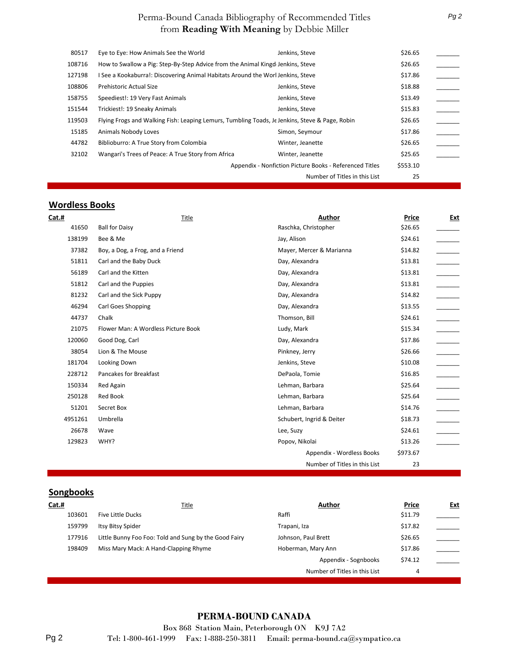| 80517  | Eye to Eye: How Animals See the World                                                          | Jenkins, Steve                                          | \$26.65  |  |
|--------|------------------------------------------------------------------------------------------------|---------------------------------------------------------|----------|--|
| 108716 | How to Swallow a Pig: Step-By-Step Advice from the Animal Kingd Jenkins, Steve                 |                                                         | \$26.65  |  |
| 127198 | I See a Kookaburra!: Discovering Animal Habitats Around the Worl Jenkins, Steve                |                                                         | \$17.86  |  |
| 108806 | Prehistoric Actual Size                                                                        | Jenkins, Steve                                          | \$18.88  |  |
| 158755 | Speediest!: 19 Very Fast Animals                                                               | Jenkins, Steve                                          | \$13.49  |  |
| 151544 | Trickiest!: 19 Sneaky Animals                                                                  | Jenkins, Steve                                          | \$15.83  |  |
| 119503 | Flying Frogs and Walking Fish: Leaping Lemurs, Tumbling Toads, Je Jenkins, Steve & Page, Robin |                                                         | \$26.65  |  |
| 15185  | Animals Nobody Loves                                                                           | Simon, Seymour                                          | \$17.86  |  |
| 44782  | Biblioburro: A True Story from Colombia                                                        | Winter, Jeanette                                        | \$26.65  |  |
| 32102  | Wangari's Trees of Peace: A True Story from Africa                                             | Winter, Jeanette                                        | \$25.65  |  |
|        |                                                                                                | Appendix - Nonfiction Picture Books - Referenced Titles | \$553.10 |  |
|        |                                                                                                | Number of Titles in this List                           | 25       |  |
|        |                                                                                                |                                                         |          |  |

#### **Wordless Books**

| Cat.#   | Title                               | Author                        | Price    | Ext                      |
|---------|-------------------------------------|-------------------------------|----------|--------------------------|
| 41650   | <b>Ball for Daisy</b>               | Raschka, Christopher          | \$26.65  |                          |
| 138199  | Bee & Me                            | Jay, Alison                   | \$24.61  |                          |
| 37382   | Boy, a Dog, a Frog, and a Friend    | Mayer, Mercer & Marianna      | \$14.82  |                          |
| 51811   | Carl and the Baby Duck              | Day, Alexandra                | \$13.81  |                          |
| 56189   | Carl and the Kitten                 | Day, Alexandra                | \$13.81  |                          |
| 51812   | Carl and the Puppies                | Day, Alexandra                | \$13.81  |                          |
| 81232   | Carl and the Sick Puppy             | Day, Alexandra                | \$14.82  |                          |
| 46294   | <b>Carl Goes Shopping</b>           | Day, Alexandra                | \$13.55  | $\overline{\phantom{a}}$ |
| 44737   | Chalk                               | Thomson, Bill                 | \$24.61  |                          |
| 21075   | Flower Man: A Wordless Picture Book | Ludy, Mark                    | \$15.34  | $\overline{a}$           |
| 120060  | Good Dog, Carl                      | Day, Alexandra                | \$17.86  |                          |
| 38054   | Lion & The Mouse                    | Pinkney, Jerry                | \$26.66  |                          |
| 181704  | Looking Down                        | Jenkins, Steve                | \$10.08  | $\overline{\phantom{a}}$ |
| 228712  | Pancakes for Breakfast              | DePaola, Tomie                | \$16.85  |                          |
| 150334  | Red Again                           | Lehman, Barbara               | \$25.64  |                          |
| 250128  | Red Book                            | Lehman, Barbara               | \$25.64  | $\overline{\phantom{0}}$ |
| 51201   | Secret Box                          | Lehman, Barbara               | \$14.76  |                          |
| 4951261 | Umbrella                            | Schubert, Ingrid & Deiter     | \$18.73  | $\overline{\phantom{a}}$ |
| 26678   | Wave                                | Lee, Suzy                     | \$24.61  |                          |
| 129823  | WHY?                                | Popov, Nikolai                | \$13.26  |                          |
|         |                                     | Appendix - Wordless Books     | \$973.67 |                          |
|         |                                     | Number of Titles in this List | 23       |                          |

## **Songbooks**

| Cat.#  | <b>Title</b>                                          | <b>Author</b>                 | Price   | <u>Ext</u> |
|--------|-------------------------------------------------------|-------------------------------|---------|------------|
| 103601 | <b>Five Little Ducks</b>                              | Raffi                         | \$11.79 |            |
| 159799 | Itsy Bitsy Spider                                     | Trapani, Iza                  | \$17.82 |            |
| 177916 | Little Bunny Foo Foo: Told and Sung by the Good Fairy | Johnson, Paul Brett           | \$26.65 |            |
| 198409 | Miss Mary Mack: A Hand-Clapping Rhyme                 | Hoberman, Mary Ann            | \$17.86 |            |
|        |                                                       | Appendix - Sognbooks          | \$74.12 |            |
|        |                                                       | Number of Titles in this List | 4       |            |

#### **PERMA-BOUND CANADA**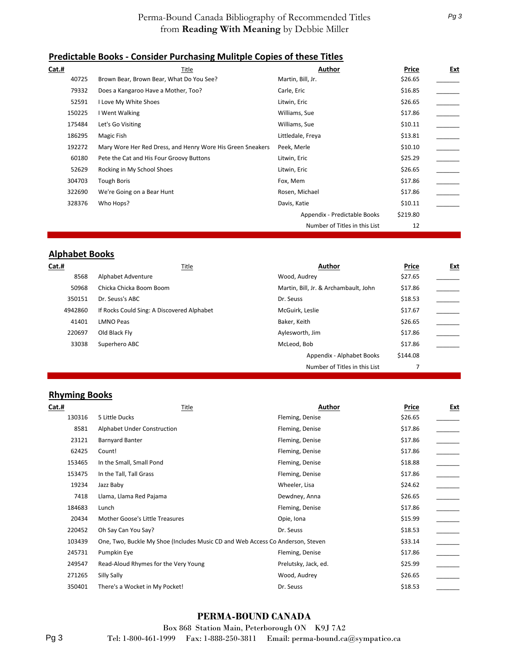#### **Predictable Books - Consider Purchasing Mulitple Copies of these Titles**

| Cat.#  | Title                                                      | Author                        | Price    | Ext |
|--------|------------------------------------------------------------|-------------------------------|----------|-----|
| 40725  | Brown Bear, Brown Bear, What Do You See?                   | Martin, Bill, Jr.             | \$26.65  |     |
| 79332  | Does a Kangaroo Have a Mother, Too?                        | Carle, Eric                   | \$16.85  |     |
| 52591  | I Love My White Shoes                                      | Litwin, Eric                  | \$26.65  |     |
| 150225 | I Went Walking                                             | Williams, Sue                 | \$17.86  |     |
| 175484 | Let's Go Visiting                                          | Williams, Sue                 | \$10.11  |     |
| 186295 | Magic Fish                                                 | Littledale, Freya             | \$13.81  |     |
| 192272 | Mary Wore Her Red Dress, and Henry Wore His Green Sneakers | Peek, Merle                   | \$10.10  |     |
| 60180  | Pete the Cat and His Four Groovy Buttons                   | Litwin, Eric                  | \$25.29  |     |
| 52629  | Rocking in My School Shoes                                 | Litwin, Eric                  | \$26.65  |     |
| 304703 | <b>Tough Boris</b>                                         | Fox, Mem                      | \$17.86  |     |
| 322690 | We're Going on a Bear Hunt                                 | Rosen, Michael                | \$17.86  |     |
| 328376 | Who Hops?                                                  | Davis, Katie                  | \$10.11  |     |
|        |                                                            | Appendix - Predictable Books  | \$219.80 |     |
|        |                                                            | Number of Titles in this List | 12       |     |

#### **Alphabet Books**

| Cat.#   | Title                                      | Author                                | Price    | <u>Ext</u> |
|---------|--------------------------------------------|---------------------------------------|----------|------------|
| 8568    | Alphabet Adventure                         | Wood, Audrey                          | \$27.65  |            |
| 50968   | Chicka Chicka Boom Boom                    | Martin, Bill, Jr. & Archambault, John | \$17.86  |            |
| 350151  | Dr. Seuss's ABC                            | Dr. Seuss                             | \$18.53  |            |
| 4942860 | If Rocks Could Sing: A Discovered Alphabet | McGuirk, Leslie                       | \$17.67  |            |
| 41401   | <b>LMNO Peas</b>                           | Baker, Keith                          | \$26.65  |            |
| 220697  | Old Black Fly                              | Aylesworth, Jim                       | \$17.86  |            |
| 33038   | Superhero ABC                              | McLeod, Bob                           | \$17.86  |            |
|         |                                            | Appendix - Alphabet Books             | \$144.08 |            |
|         |                                            | Number of Titles in this List         |          |            |

#### **Rhyming Books**

| <b>Cat.#</b> | Title                                                                          | Author               | Price   | <b>Ext</b> |
|--------------|--------------------------------------------------------------------------------|----------------------|---------|------------|
| 130316       | 5 Little Ducks                                                                 | Fleming, Denise      | \$26.65 |            |
| 8581         | Alphabet Under Construction                                                    | Fleming, Denise      | \$17.86 |            |
| 23121        | <b>Barnyard Banter</b>                                                         | Fleming, Denise      | \$17.86 |            |
| 62425        | Count!                                                                         | Fleming, Denise      | \$17.86 |            |
| 153465       | In the Small, Small Pond                                                       | Fleming, Denise      | \$18.88 |            |
| 153475       | In the Tall, Tall Grass                                                        | Fleming, Denise      | \$17.86 |            |
| 19234        | Jazz Baby                                                                      | Wheeler, Lisa        | \$24.62 |            |
| 7418         | Llama, Llama Red Pajama                                                        | Dewdney, Anna        | \$26.65 |            |
| 184683       | Lunch                                                                          | Fleming, Denise      | \$17.86 |            |
| 20434        | Mother Goose's Little Treasures                                                | Opie, Iona           | \$15.99 |            |
| 220452       | Oh Say Can You Say?                                                            | Dr. Seuss            | \$18.53 |            |
| 103439       | One, Two, Buckle My Shoe (Includes Music CD and Web Access Co Anderson, Steven |                      | \$33.14 |            |
| 245731       | Pumpkin Eye                                                                    | Fleming, Denise      | \$17.86 |            |
| 249547       | Read-Aloud Rhymes for the Very Young                                           | Prelutsky, Jack, ed. | \$25.99 |            |
| 271265       | Silly Sally                                                                    | Wood, Audrey         | \$26.65 |            |
| 350401       | There's a Wocket in My Pocket!                                                 | Dr. Seuss            | \$18.53 |            |
|              |                                                                                |                      |         |            |

#### **PERMA-BOUND CANADA**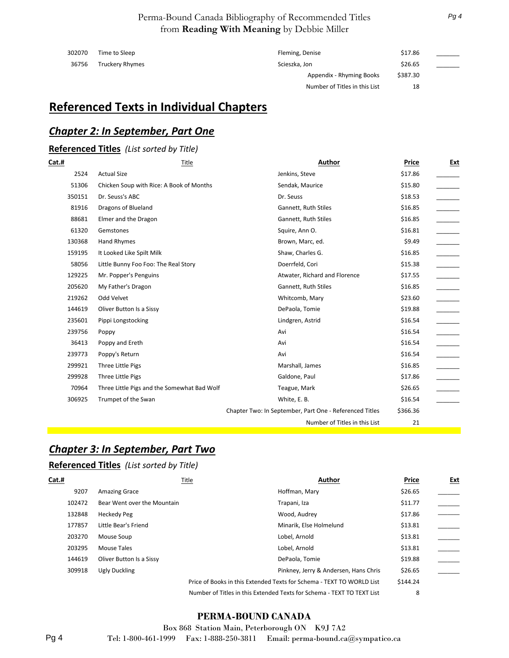| 302070 | Time to Sleep          | Fleming, Denise               | \$17.86  |  |
|--------|------------------------|-------------------------------|----------|--|
| 36756  | <b>Truckery Rhymes</b> | Scieszka, Jon                 | \$26.65  |  |
|        |                        | Appendix - Rhyming Books      | \$387.30 |  |
|        |                        | Number of Titles in this List | 18       |  |

## **Referenced Texts in Individual Chapters**

#### *Chapter 2: In September, Part One*

## **Referenced Titles** *(List sorted by Title)*

| Cat.#  | Title                                       | Author                                                  | Price    | Ext |
|--------|---------------------------------------------|---------------------------------------------------------|----------|-----|
| 2524   | <b>Actual Size</b>                          | Jenkins, Steve                                          | \$17.86  |     |
| 51306  | Chicken Soup with Rice: A Book of Months    | Sendak, Maurice                                         | \$15.80  |     |
| 350151 | Dr. Seuss's ABC                             | Dr. Seuss                                               | \$18.53  |     |
| 81916  | Dragons of Blueland                         | Gannett, Ruth Stiles                                    | \$16.85  |     |
| 88681  | Elmer and the Dragon                        | Gannett, Ruth Stiles                                    | \$16.85  |     |
| 61320  | Gemstones                                   | Squire, Ann O.                                          | \$16.81  |     |
| 130368 | Hand Rhymes                                 | Brown, Marc, ed.                                        | \$9.49   |     |
| 159195 | It Looked Like Spilt Milk                   | Shaw, Charles G.                                        | \$16.85  |     |
| 58056  | Little Bunny Foo Foo: The Real Story        | Doerrfeld, Cori                                         | \$15.38  |     |
| 129225 | Mr. Popper's Penguins                       | Atwater, Richard and Florence                           | \$17.55  |     |
| 205620 | My Father's Dragon                          | Gannett, Ruth Stiles                                    | \$16.85  |     |
| 219262 | Odd Velvet                                  | Whitcomb, Mary                                          | \$23.60  |     |
| 144619 | Oliver Button Is a Sissy                    | DePaola, Tomie                                          | \$19.88  |     |
| 235601 | Pippi Longstocking                          | Lindgren, Astrid                                        | \$16.54  |     |
| 239756 | Poppy                                       | Avi                                                     | \$16.54  |     |
| 36413  | Poppy and Ereth                             | Avi                                                     | \$16.54  |     |
| 239773 | Poppy's Return                              | Avi                                                     | \$16.54  |     |
| 299921 | Three Little Pigs                           | Marshall, James                                         | \$16.85  |     |
| 299928 | Three Little Pigs                           | Galdone, Paul                                           | \$17.86  |     |
| 70964  | Three Little Pigs and the Somewhat Bad Wolf | Teague, Mark                                            | \$26.65  |     |
| 306925 | Trumpet of the Swan                         | White, E. B.                                            | \$16.54  |     |
|        |                                             | Chapter Two: In September, Part One - Referenced Titles | \$366.36 |     |
|        |                                             | Number of Titles in this List                           | 21       |     |
|        |                                             |                                                         |          |     |

#### *Chapter 3: In September, Part Two*

#### **Referenced Titles** *(List sorted by Title)*

| Cat.#  |                             | Author<br>Title                                                        | Price    | <u>Ext</u> |
|--------|-----------------------------|------------------------------------------------------------------------|----------|------------|
| 9207   | <b>Amazing Grace</b>        | Hoffman, Mary                                                          | \$26.65  |            |
| 102472 | Bear Went over the Mountain | Trapani, Iza                                                           | \$11.77  |            |
| 132848 | <b>Heckedy Peg</b>          | Wood, Audrey                                                           | \$17.86  |            |
| 177857 | Little Bear's Friend        | Minarik, Else Holmelund                                                | \$13.81  |            |
| 203270 | Mouse Soup                  | Lobel, Arnold                                                          | \$13.81  |            |
| 203295 | Mouse Tales                 | Lobel, Arnold                                                          | \$13.81  |            |
| 144619 | Oliver Button Is a Sissy    | DePaola, Tomie                                                         | \$19.88  |            |
| 309918 | Ugly Duckling               | Pinkney, Jerry & Andersen, Hans Chris                                  | \$26.65  |            |
|        |                             | Price of Books in this Extended Texts for Schema - TEXT TO WORLD List  | \$144.24 |            |
|        |                             | Number of Titles in this Extended Texts for Schema - TEXT TO TEXT List | 8        |            |

#### **PERMA-BOUND CANADA**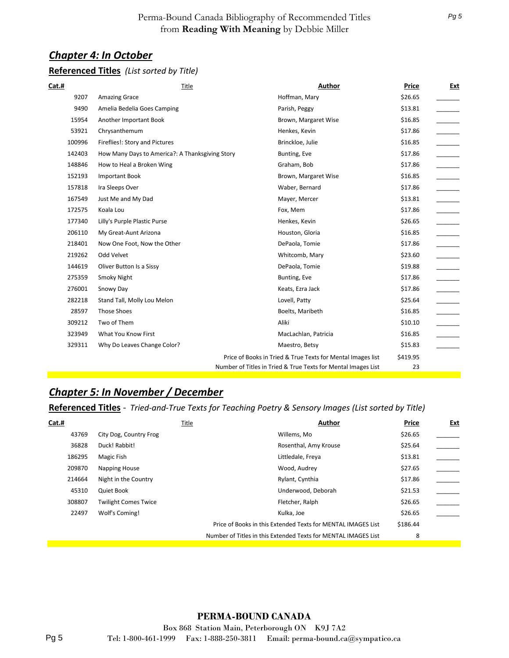#### *Chapter 4: In October*

#### **Referenced Titles** *(List sorted by Title)*

| Cat.#  | Title                                           | Author                                                        | Price    | Ext |
|--------|-------------------------------------------------|---------------------------------------------------------------|----------|-----|
| 9207   | <b>Amazing Grace</b>                            | Hoffman, Mary                                                 | \$26.65  |     |
| 9490   | Amelia Bedelia Goes Camping                     | Parish, Peggy                                                 | \$13.81  |     |
| 15954  | Another Important Book                          | Brown, Margaret Wise                                          | \$16.85  |     |
| 53921  | Chrysanthemum                                   | Henkes, Kevin                                                 | \$17.86  |     |
| 100996 | Fireflies!: Story and Pictures                  | Brinckloe, Julie                                              | \$16.85  |     |
| 142403 | How Many Days to America?: A Thanksgiving Story | Bunting, Eve                                                  | \$17.86  |     |
| 148846 | How to Heal a Broken Wing                       | Graham, Bob                                                   | \$17.86  |     |
| 152193 | <b>Important Book</b>                           | Brown, Margaret Wise                                          | \$16.85  |     |
| 157818 | Ira Sleeps Over                                 | Waber, Bernard                                                | \$17.86  |     |
| 167549 | Just Me and My Dad                              | Mayer, Mercer                                                 | \$13.81  |     |
| 172575 | Koala Lou                                       | Fox, Mem                                                      | \$17.86  |     |
| 177340 | Lilly's Purple Plastic Purse                    | Henkes, Kevin                                                 | \$26.65  |     |
| 206110 | My Great-Aunt Arizona                           | Houston, Gloria                                               | \$16.85  |     |
| 218401 | Now One Foot, Now the Other                     | DePaola, Tomie                                                | \$17.86  |     |
| 219262 | Odd Velvet                                      | Whitcomb, Mary                                                | \$23.60  |     |
| 144619 | Oliver Button Is a Sissy                        | DePaola, Tomie                                                | \$19.88  |     |
| 275359 | Smoky Night                                     | Bunting, Eve                                                  | \$17.86  |     |
| 276001 | Snowy Day                                       | Keats, Ezra Jack                                              | \$17.86  |     |
| 282218 | Stand Tall, Molly Lou Melon                     | Lovell, Patty                                                 | \$25.64  |     |
| 28597  | <b>Those Shoes</b>                              | Boelts, Maribeth                                              | \$16.85  |     |
| 309212 | Two of Them                                     | Aliki                                                         | \$10.10  |     |
| 323949 | What You Know First                             | MacLachlan, Patricia                                          | \$16.85  |     |
| 329311 | Why Do Leaves Change Color?                     | Maestro, Betsy                                                | \$15.83  |     |
|        |                                                 | Price of Books in Tried & True Texts for Mental Images list   | \$419.95 |     |
|        |                                                 | Number of Titles in Tried & True Texts for Mental Images List | 23       |     |

#### *Chapter 5: In November / December*

#### **Referenced Titles** *- Tried-and-True Texts for Teaching Poetry & Sensory Images (List sorted by Title)*

| Cat.#  | Title                       | Author                                                         | Price    | <u>Ext</u> |
|--------|-----------------------------|----------------------------------------------------------------|----------|------------|
| 43769  | City Dog, Country Frog      | Willems, Mo                                                    | \$26.65  |            |
| 36828  | Duck! Rabbit!               | Rosenthal, Amy Krouse                                          | \$25.64  |            |
| 186295 | Magic Fish                  | Littledale, Freya                                              | \$13.81  |            |
| 209870 | Napping House               | Wood, Audrey                                                   | \$27.65  |            |
| 214664 | Night in the Country        | Rylant, Cynthia                                                | \$17.86  |            |
| 45310  | Quiet Book                  | Underwood, Deborah                                             | \$21.53  |            |
| 308807 | <b>Twilight Comes Twice</b> | Fletcher, Ralph                                                | \$26.65  |            |
| 22497  | Wolf's Coming!              | Kulka, Joe                                                     | \$26.65  |            |
|        |                             | Price of Books in this Extended Texts for MENTAL IMAGES List   | \$186.44 |            |
|        |                             | Number of Titles in this Extended Texts for MENTAL IMAGES List | 8        |            |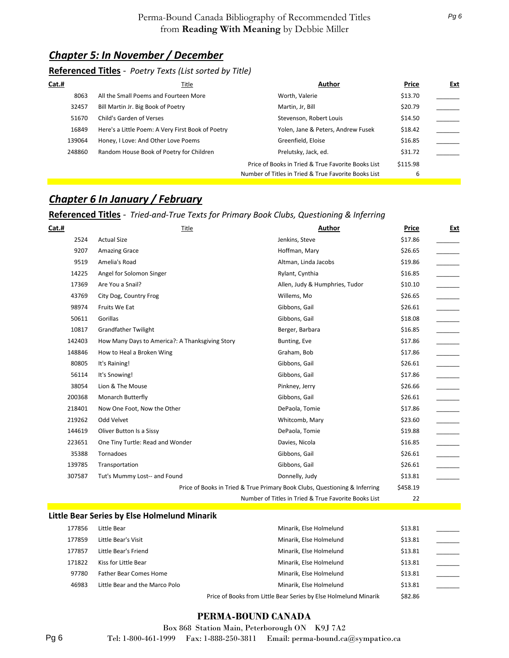#### *Chapter 5: In November / December*

#### **Referenced Titles** *- Poetry Texts (List sorted by Title)*

| Cat.#  | Title                                             | Author                                               | Price    | <u>Ext</u> |
|--------|---------------------------------------------------|------------------------------------------------------|----------|------------|
| 8063   | All the Small Poems and Fourteen More             | Worth, Valerie                                       | \$13.70  |            |
| 32457  | Bill Martin Jr. Big Book of Poetry                | Martin, Jr, Bill                                     | \$20.79  |            |
| 51670  | Child's Garden of Verses                          | Stevenson, Robert Louis                              | \$14.50  |            |
| 16849  | Here's a Little Poem: A Very First Book of Poetry | Yolen, Jane & Peters, Andrew Fusek                   | \$18.42  |            |
| 139064 | Honey, I Love: And Other Love Poems               | Greenfield, Eloise                                   | \$16.85  |            |
| 248860 | Random House Book of Poetry for Children          | Prelutsky, Jack, ed.                                 | \$31.72  |            |
|        |                                                   | Price of Books in Tried & True Favorite Books List   | \$115.98 |            |
|        |                                                   | Number of Titles in Tried & True Favorite Books List | 6        |            |

#### *Chapter 6 In January / February*

#### **Referenced Titles** *- Tried-and-True Texts for Primary Book Clubs, Questioning & Inferring*

| Cat.#  | Title                                           | Author                                                                     | Price    | <b>Ext</b> |
|--------|-------------------------------------------------|----------------------------------------------------------------------------|----------|------------|
| 2524   | <b>Actual Size</b>                              | Jenkins, Steve                                                             | \$17.86  |            |
| 9207   | <b>Amazing Grace</b>                            | Hoffman, Mary                                                              | \$26.65  |            |
| 9519   | Amelia's Road                                   | Altman, Linda Jacobs                                                       | \$19.86  |            |
| 14225  | Angel for Solomon Singer                        | Rylant, Cynthia                                                            | \$16.85  |            |
| 17369  | Are You a Snail?                                | Allen, Judy & Humphries, Tudor                                             | \$10.10  |            |
| 43769  | City Dog, Country Frog                          | Willems, Mo                                                                | \$26.65  |            |
| 98974  | Fruits We Eat                                   | Gibbons, Gail                                                              | \$26.61  |            |
| 50611  | Gorillas                                        | Gibbons, Gail                                                              | \$18.08  |            |
| 10817  | <b>Grandfather Twilight</b>                     | Berger, Barbara                                                            | \$16.85  |            |
| 142403 | How Many Days to America?: A Thanksgiving Story | Bunting, Eve                                                               | \$17.86  |            |
| 148846 | How to Heal a Broken Wing                       | Graham, Bob                                                                | \$17.86  |            |
| 80805  | It's Raining!                                   | Gibbons, Gail                                                              | \$26.61  |            |
| 56114  | It's Snowing!                                   | Gibbons, Gail                                                              | \$17.86  |            |
| 38054  | Lion & The Mouse                                | Pinkney, Jerry                                                             | \$26.66  |            |
| 200368 | Monarch Butterfly                               | Gibbons, Gail                                                              | \$26.61  |            |
| 218401 | Now One Foot, Now the Other                     | DePaola, Tomie                                                             | \$17.86  |            |
| 219262 | Odd Velvet                                      | Whitcomb, Mary                                                             | \$23.60  |            |
| 144619 | Oliver Button Is a Sissy                        | DePaola, Tomie                                                             | \$19.88  |            |
| 223651 | One Tiny Turtle: Read and Wonder                | Davies, Nicola                                                             | \$16.85  |            |
| 35388  | Tornadoes                                       | Gibbons, Gail                                                              | \$26.61  |            |
| 139785 | Transportation                                  | Gibbons, Gail                                                              | \$26.61  |            |
| 307587 | Tut's Mummy Lost-- and Found                    | Donnelly, Judy                                                             | \$13.81  |            |
|        |                                                 | Price of Books in Tried & True Primary Book Clubs, Questioning & Inferring | \$458.19 |            |
|        |                                                 | Number of Titles in Tried & True Favorite Books List                       | 22       |            |
|        | Little Bear Series by Else Holmelund Minarik    |                                                                            |          |            |
| 177856 | Little Bear                                     | Minarik, Else Holmelund                                                    | \$13.81  |            |
| 177859 | Little Bear's Visit                             | Minarik, Else Holmelund                                                    | \$13.81  |            |
| 177857 | Little Bear's Friend                            | Minarik, Else Holmelund                                                    | \$13.81  |            |
| 171822 | Kiss for Little Bear                            | Minarik, Else Holmelund                                                    | \$13.81  |            |

Price of Books from Little Bear Series by Else Holmelund Minarik \$82.86

#### **PERMA-BOUND CANADA**

97780 Father Bear Comes Home Minarik, Else Holmelund \$13.81 46983 Little Bear and the Marco Polo **Accord Minarik, Else Holmelund** \$13.81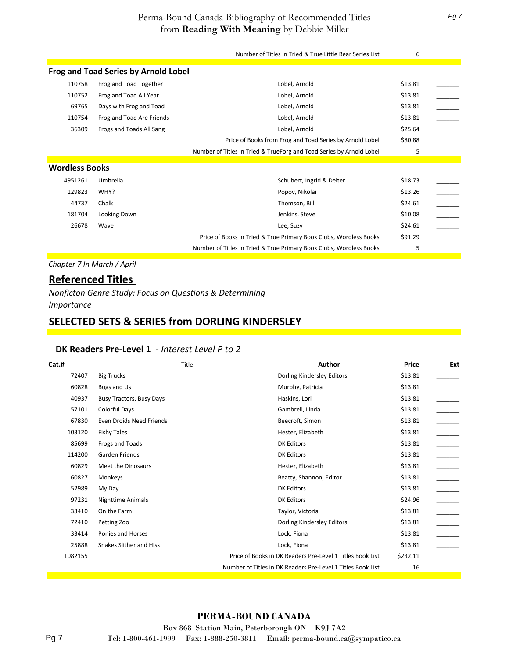|                       |                                             | Number of Titles in Tried & True Little Bear Series List             | 6       |                          |  |
|-----------------------|---------------------------------------------|----------------------------------------------------------------------|---------|--------------------------|--|
|                       | <b>Frog and Toad Series by Arnold Lobel</b> |                                                                      |         |                          |  |
| 110758                | Frog and Toad Together                      | Lobel, Arnold                                                        | \$13.81 |                          |  |
| 110752                | Frog and Toad All Year                      | Lobel, Arnold                                                        | \$13.81 |                          |  |
| 69765                 | Days with Frog and Toad                     | Lobel, Arnold                                                        | \$13.81 | $\overline{\phantom{a}}$ |  |
| 110754                | Frog and Toad Are Friends                   | Lobel, Arnold                                                        | \$13.81 |                          |  |
| 36309                 | Frogs and Toads All Sang                    | Lobel, Arnold                                                        | \$25.64 |                          |  |
|                       |                                             | Price of Books from Frog and Toad Series by Arnold Lobel             | \$80.88 |                          |  |
|                       |                                             | Number of Titles in Tried & TrueForg and Toad Series by Arnold Lobel | 5       |                          |  |
|                       |                                             |                                                                      |         |                          |  |
| <b>Wordless Books</b> |                                             |                                                                      |         |                          |  |
| 4951261               | Umbrella                                    | Schubert, Ingrid & Deiter                                            | \$18.73 |                          |  |
| 129823                | WHY?                                        | Popov, Nikolai                                                       | \$13.26 |                          |  |
| 44737                 | Chalk                                       | Thomson, Bill                                                        | \$24.61 |                          |  |
| 181704                | Looking Down                                | Jenkins, Steve                                                       | \$10.08 |                          |  |
| 26678                 | Wave                                        | Lee, Suzy                                                            | \$24.61 |                          |  |
|                       |                                             | Price of Books in Tried & True Primary Book Clubs, Wordless Books    | \$91.29 |                          |  |
|                       |                                             | Number of Titles in Tried & True Primary Book Clubs, Wordless Books  | 5       |                          |  |

*Chapter 7 In March / April*

#### **Referenced Titles**

*Nonficton Genre Study: Focus on Questions & Determining Importance*

#### **SELECTED SETS & SERIES from DORLING KINDERSLEY**

#### **DK Readers Pre-Level 1** *- Interest Level P to 2*

| Cat.#   | Title                           | Author                                                      | Price    | <u>Ext</u> |
|---------|---------------------------------|-------------------------------------------------------------|----------|------------|
| 72407   | <b>Big Trucks</b>               | Dorling Kindersley Editors                                  | \$13.81  |            |
| 60828   | Bugs and Us                     | Murphy, Patricia                                            | \$13.81  |            |
| 40937   | <b>Busy Tractors, Busy Days</b> | Haskins, Lori                                               | \$13.81  |            |
| 57101   | <b>Colorful Days</b>            | Gambrell, Linda                                             | \$13.81  |            |
| 67830   | Even Droids Need Friends        | Beecroft, Simon                                             | \$13.81  |            |
| 103120  | <b>Fishy Tales</b>              | Hester, Elizabeth                                           | \$13.81  |            |
| 85699   | Frogs and Toads                 | <b>DK Editors</b>                                           | \$13.81  |            |
| 114200  | Garden Friends                  | DK Editors                                                  | \$13.81  |            |
| 60829   | Meet the Dinosaurs              | Hester, Elizabeth                                           | \$13.81  |            |
| 60827   | Monkeys                         | Beatty, Shannon, Editor                                     | \$13.81  |            |
| 52989   | My Day                          | <b>DK Editors</b>                                           | \$13.81  |            |
| 97231   | <b>Nighttime Animals</b>        | <b>DK Editors</b>                                           | \$24.96  |            |
| 33410   | On the Farm                     | Taylor, Victoria                                            | \$13.81  |            |
| 72410   | Petting Zoo                     | Dorling Kindersley Editors                                  | \$13.81  |            |
| 33414   | Ponies and Horses               | Lock, Fiona                                                 | \$13.81  |            |
| 25888   | <b>Snakes Slither and Hiss</b>  | Lock, Fiona                                                 | \$13.81  |            |
| 1082155 |                                 | Price of Books in DK Readers Pre-Level 1 Titles Book List   | \$232.11 |            |
|         |                                 | Number of Titles in DK Readers Pre-Level 1 Titles Book List | 16       |            |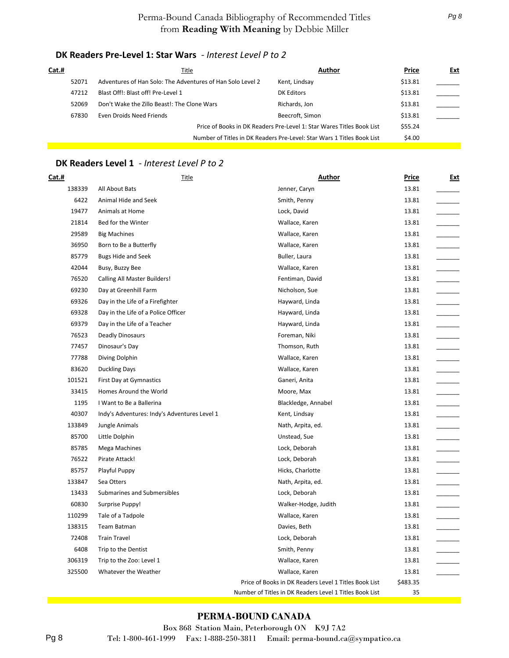#### **DK Readers Pre-Level 1: Star Wars** *- Interest Level P to 2*

| Cat.# |       | Title                                                      | Author                                                                 | Price   | Ext |
|-------|-------|------------------------------------------------------------|------------------------------------------------------------------------|---------|-----|
|       | 52071 | Adventures of Han Solo: The Adventures of Han Solo Level 2 | Kent, Lindsay                                                          | \$13.81 |     |
|       | 47212 | Blast Off!: Blast off! Pre-Level 1                         | DK Editors                                                             | \$13.81 |     |
|       | 52069 | Don't Wake the Zillo Beast!: The Clone Wars                | Richards, Jon                                                          | \$13.81 |     |
|       | 67830 | Even Droids Need Friends                                   | Beecroft, Simon                                                        | \$13.81 |     |
|       |       |                                                            | Price of Books in DK Readers Pre-Level 1: Star Wares Titles Book List  | \$55.24 |     |
|       |       |                                                            | Number of Titles in DK Readers Pre-Level: Star Wars 1 Titles Book List | \$4.00  |     |
|       |       |                                                            |                                                                        |         |     |

#### **DK Readers Level 1** *- Interest Level P to 2*

| Cat.#  | <b>Title</b>                                 | Author                                                  | Price    | <u>Ext</u> |
|--------|----------------------------------------------|---------------------------------------------------------|----------|------------|
| 138339 | All About Bats                               | Jenner, Caryn                                           | 13.81    |            |
| 6422   | Animal Hide and Seek                         | Smith, Penny                                            | 13.81    |            |
| 19477  | Animals at Home                              | Lock, David                                             | 13.81    |            |
| 21814  | Bed for the Winter                           | Wallace, Karen                                          | 13.81    |            |
| 29589  | <b>Big Machines</b>                          | Wallace, Karen                                          | 13.81    |            |
| 36950  | Born to Be a Butterfly                       | Wallace, Karen                                          | 13.81    |            |
| 85779  | <b>Bugs Hide and Seek</b>                    | Buller, Laura                                           | 13.81    |            |
| 42044  | Busy, Buzzy Bee                              | Wallace, Karen                                          | 13.81    |            |
| 76520  | <b>Calling All Master Builders!</b>          | Fentiman, David                                         | 13.81    |            |
| 69230  | Day at Greenhill Farm                        | Nicholson, Sue                                          | 13.81    |            |
| 69326  | Day in the Life of a Firefighter             | Hayward, Linda                                          | 13.81    |            |
| 69328  | Day in the Life of a Police Officer          | Hayward, Linda                                          | 13.81    |            |
| 69379  | Day in the Life of a Teacher                 | Hayward, Linda                                          | 13.81    |            |
| 76523  | Deadly Dinosaurs                             | Foreman, Niki                                           | 13.81    |            |
| 77457  | Dinosaur's Day                               | Thomson, Ruth                                           | 13.81    |            |
| 77788  | Diving Dolphin                               | Wallace, Karen                                          | 13.81    |            |
| 83620  | <b>Duckling Days</b>                         | Wallace, Karen                                          | 13.81    |            |
| 101521 | <b>First Day at Gymnastics</b>               | Ganeri, Anita                                           | 13.81    |            |
| 33415  | Homes Around the World                       | Moore, Max                                              | 13.81    |            |
| 1195   | I Want to Be a Ballerina                     | Blackledge, Annabel                                     | 13.81    |            |
| 40307  | Indy's Adventures: Indy's Adventures Level 1 | Kent, Lindsay                                           | 13.81    |            |
| 133849 | Jungle Animals                               | Nath, Arpita, ed.                                       | 13.81    |            |
| 85700  | Little Dolphin                               | Unstead, Sue                                            | 13.81    |            |
| 85785  | Mega Machines                                | Lock, Deborah                                           | 13.81    |            |
| 76522  | Pirate Attack!                               | Lock, Deborah                                           | 13.81    |            |
| 85757  | Playful Puppy                                | Hicks, Charlotte                                        | 13.81    |            |
| 133847 | Sea Otters                                   | Nath, Arpita, ed.                                       | 13.81    |            |
| 13433  | Submarines and Submersibles                  | Lock, Deborah                                           | 13.81    |            |
| 60830  | Surprise Puppy!                              | Walker-Hodge, Judith                                    | 13.81    |            |
| 110299 | Tale of a Tadpole                            | Wallace, Karen                                          | 13.81    |            |
| 138315 | Team Batman                                  | Davies, Beth                                            | 13.81    |            |
| 72408  | <b>Train Travel</b>                          | Lock, Deborah                                           | 13.81    |            |
| 6408   | Trip to the Dentist                          | Smith, Penny                                            | 13.81    |            |
| 306319 | Trip to the Zoo: Level 1                     | Wallace, Karen                                          | 13.81    |            |
| 325500 | Whatever the Weather                         | Wallace, Karen                                          | 13.81    |            |
|        |                                              | Price of Books in DK Readers Level 1 Titles Book List   | \$483.35 |            |
|        |                                              | Number of Titles in DK Readers Level 1 Titles Book List | 35       |            |

#### **PERMA-BOUND CANADA**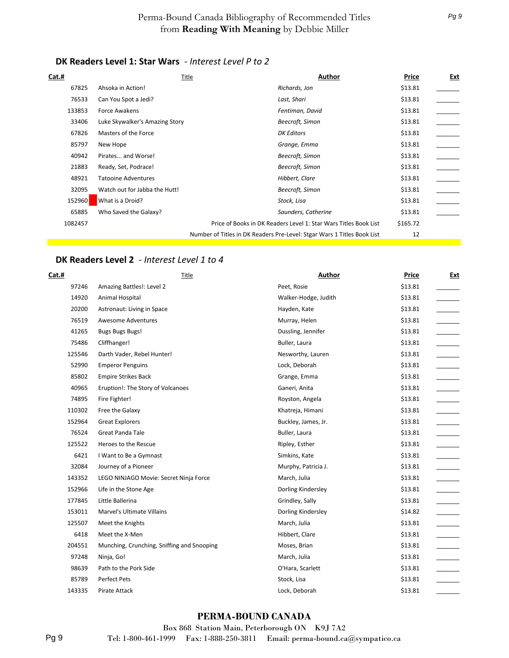#### **DK Readers Level 1: Star Wars** *- Interest Level P to 2*

| <b>Cat.#</b> |                                | Author<br>Title                                                         | Price    | <b>Ext</b> |
|--------------|--------------------------------|-------------------------------------------------------------------------|----------|------------|
| 67825        | Ahsoka in Action!              | Richards, Jon                                                           | \$13.81  |            |
| 76533        | Can You Spot a Jedi?           | Last, Shari                                                             | \$13.81  |            |
| 133853       | Force Awakens                  | Fentiman, David                                                         | \$13.81  |            |
| 33406        | Luke Skywalker's Amazing Story | Beecroft, Simon                                                         | \$13.81  |            |
| 67826        | Masters of the Force           | <b>DK Editors</b>                                                       | \$13.81  |            |
| 85797        | New Hope                       | Grange, Emma                                                            | \$13.81  |            |
| 40942        | Pirates and Worse!             | Beecroft, Simon                                                         | \$13.81  |            |
| 21883        | Ready, Set, Podrace!           | Beecroft, Simon                                                         | \$13.81  |            |
| 48921        | <b>Tatooine Adventures</b>     | Hibbert, Clare                                                          | \$13.81  |            |
| 32095        | Watch out for Jabba the Hutt!  | Beecroft, Simon                                                         | \$13.81  |            |
| 152960       | What is a Droid?               | Stock, Lisa                                                             | \$13.81  |            |
| 65885        | Who Saved the Galaxy?          | Saunders, Catherine                                                     | \$13.81  |            |
| 1082457      |                                | Price of Books in DK Readers Level 1: Star Wars Titles Book List        | \$165.72 |            |
|              |                                | Number of Titles in DK Readers Pre-Level: Stgar Wars 1 Titles Book List | 12       |            |

#### **DK Readers Level 2** *- Interest Level 1 to 4*

| Cat.#  | Title                                      | <b>Author</b>        | <b>Price</b> | <u>Ext</u> |
|--------|--------------------------------------------|----------------------|--------------|------------|
| 97246  | Amazing Battles!: Level 2                  | Peet, Rosie          | \$13.81      |            |
| 14920  | Animal Hospital                            | Walker-Hodge, Judith | \$13.81      |            |
| 20200  | Astronaut: Living in Space                 | Hayden, Kate         | \$13.81      |            |
| 76519  | <b>Awesome Adventures</b>                  | Murray, Helen        | \$13.81      |            |
| 41265  | <b>Bugs Bugs Bugs!</b>                     | Dussling, Jennifer   | \$13.81      |            |
| 75486  | Cliffhanger!                               | Buller, Laura        | \$13.81      |            |
| 125546 | Darth Vader, Rebel Hunter!                 | Nesworthy, Lauren    | \$13.81      |            |
| 52990  | <b>Emperor Penguins</b>                    | Lock, Deborah        | \$13.81      |            |
| 85802  | <b>Empire Strikes Back</b>                 | Grange, Emma         | \$13.81      |            |
| 40965  | Eruption!: The Story of Volcanoes          | Ganeri, Anita        | \$13.81      |            |
| 74895  | Fire Fighter!                              | Royston, Angela      | \$13.81      |            |
| 110302 | Free the Galaxy                            | Khatreja, Himani     | \$13.81      |            |
| 152964 | <b>Great Explorers</b>                     | Buckley, James, Jr.  | \$13.81      |            |
| 76524  | <b>Great Panda Tale</b>                    | Buller, Laura        | \$13.81      |            |
| 125522 | Heroes to the Rescue                       | Ripley, Esther       | \$13.81      |            |
| 6421   | I Want to Be a Gymnast                     | Simkins, Kate        | \$13.81      |            |
| 32084  | Journey of a Pioneer                       | Murphy, Patricia J.  | \$13.81      |            |
| 143352 | LEGO NINJAGO Movie: Secret Ninja Force     | March, Julia         | \$13.81      |            |
| 152966 | Life in the Stone Age                      | Dorling Kindersley   | \$13.81      |            |
| 177845 | Little Ballerina                           | Grindley, Sally      | \$13.81      |            |
| 153011 | Marvel's Ultimate Villains                 | Dorling Kindersley   | \$14.82      |            |
| 125507 | Meet the Knights                           | March, Julia         | \$13.81      |            |
| 6418   | Meet the X-Men                             | Hibbert, Clare       | \$13.81      |            |
| 204551 | Munching, Crunching, Sniffing and Snooping | Moses, Brian         | \$13.81      |            |
| 97248  | Ninja, Go!                                 | March, Julia         | \$13.81      |            |
| 98639  | Path to the Pork Side                      | O'Hara, Scarlett     | \$13.81      |            |
| 85789  | Perfect Pets                               | Stock, Lisa          | \$13.81      |            |
| 143335 | Pirate Attack                              | Lock, Deborah        | \$13.81      |            |

#### **PERMA-BOUND CANADA**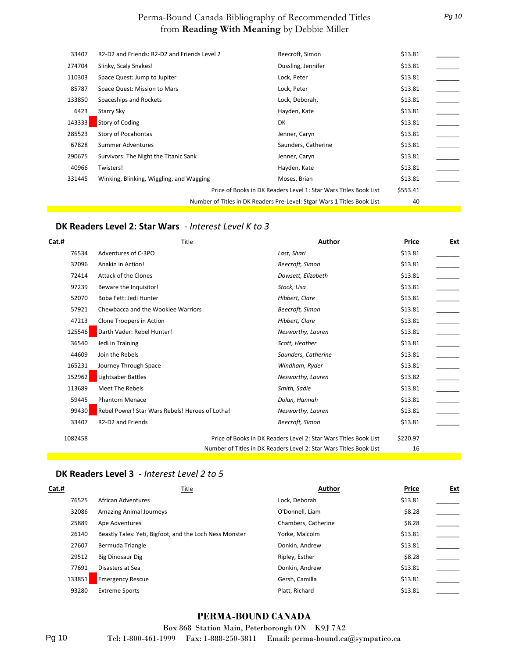| 33407  | R2-D2 and Friends: R2-D2 and Friends Level 2 | Beecroft, Simon                                                         | \$13.81  |  |
|--------|----------------------------------------------|-------------------------------------------------------------------------|----------|--|
| 274704 | Slinky, Scaly Snakes!                        | Dussling, Jennifer                                                      | \$13.81  |  |
| 110303 | Space Quest: Jump to Jupiter                 | Lock, Peter                                                             | \$13.81  |  |
| 85787  | Space Quest: Mission to Mars                 | Lock, Peter                                                             | \$13.81  |  |
| 133850 | Spaceships and Rockets                       | Lock, Deborah,                                                          | \$13.81  |  |
| 6423   | Starry Sky                                   | Hayden, Kate                                                            | \$13.81  |  |
| 143333 | <b>Story of Coding</b>                       | DK                                                                      | \$13.81  |  |
| 285523 | Story of Pocahontas                          | Jenner, Caryn                                                           | \$13.81  |  |
| 67828  | Summer Adventures                            | Saunders, Catherine                                                     | \$13.81  |  |
| 290675 | Survivors: The Night the Titanic Sank        | Jenner, Caryn                                                           | \$13.81  |  |
| 40966  | Twisters!                                    | Hayden, Kate                                                            | \$13.81  |  |
| 331445 | Winking, Blinking, Wiggling, and Wagging     | Moses, Brian                                                            | \$13.81  |  |
|        |                                              | Price of Books in DK Readers Level 1: Star Wars Titles Book List        | \$553.41 |  |
|        |                                              | Number of Titles in DK Readers Pre-Level: Stgar Wars 1 Titles Book List | 40       |  |

#### **DK Readers Level 2: Star Wars** *- Interest Level K to 3*

| Cat.#   | Title                                           | Author                                                             | Price    | <b>Ext</b>               |
|---------|-------------------------------------------------|--------------------------------------------------------------------|----------|--------------------------|
| 76534   | Adventures of C-3PO                             | Last, Shari                                                        | \$13.81  |                          |
| 32096   | Anakin in Action!                               | Beecroft, Simon                                                    | \$13.81  |                          |
| 72414   | Attack of the Clones                            | Dowsett, Elizabeth                                                 | \$13.81  |                          |
| 97239   | Beware the Inquisitor!                          | Stock, Lisa                                                        | \$13.81  |                          |
| 52070   | Boba Fett: Jedi Hunter                          | Hibbert, Clare                                                     | \$13.81  |                          |
| 57921   | Chewbacca and the Wookiee Warriors              | Beecroft, Simon                                                    | \$13.81  |                          |
| 47213   | Clone Troopers in Action                        | Hibbert, Clare                                                     | \$13.81  |                          |
| 125546  | Darth Vader: Rebel Hunter!                      | Nesworthy, Lauren                                                  | \$13.81  |                          |
| 36540   | Jedi in Training                                | Scott, Heather                                                     | \$13.81  |                          |
| 44609   | Join the Rebels                                 | Saunders, Catherine                                                | \$13.81  | $\overline{\phantom{a}}$ |
| 165231  | Journey Through Space                           | Windham, Ryder                                                     | \$13.81  |                          |
| 152962  | Lightsaber Battles                              | Nesworthy, Lauren                                                  | \$13.82  |                          |
| 113689  | Meet The Rebels                                 | Smith, Sadie                                                       | \$13.81  |                          |
| 59445   | <b>Phantom Menace</b>                           | Dolan, Hannah                                                      | \$13.81  |                          |
| 99430   | Rebel Power! Star Wars Rebels! Heroes of Lotha! | Nesworthy, Lauren                                                  | \$13.81  |                          |
| 33407   | R <sub>2</sub> -D <sub>2</sub> and Friends      | Beecroft, Simon                                                    | \$13.81  |                          |
| 1082458 |                                                 | Price of Books in DK Readers Level 2: Star Wars Titles Book List   | \$220.97 |                          |
|         |                                                 | Number of Titles in DK Readers Level 2: Star Wars Titles Book List | 16       |                          |

#### **DK Readers Level 3** *- Interest Level 2 to 5*

| Cat.#  | Title                                                   | Author              | Price   | <u>Ext</u> |
|--------|---------------------------------------------------------|---------------------|---------|------------|
| 76525  | African Adventures                                      | Lock, Deborah       | \$13.81 |            |
| 32086  | <b>Amazing Animal Journeys</b>                          | O'Donnell, Liam     | \$8.28  |            |
| 25889  | Ape Adventures                                          | Chambers, Catherine | \$8.28  |            |
| 26140  | Beastly Tales: Yeti, Bigfoot, and the Loch Ness Monster | Yorke, Malcolm      | \$13.81 |            |
| 27607  | Bermuda Triangle                                        | Donkin, Andrew      | \$13.81 |            |
| 29512  | <b>Big Dinosaur Dig</b>                                 | Ripley, Esther      | \$8.28  |            |
| 77691  | Disasters at Sea                                        | Donkin, Andrew      | \$13.81 |            |
| 133851 | <b>Emergency Rescue</b>                                 | Gersh, Camilla      | \$13.81 |            |
| 93280  | <b>Extreme Sports</b>                                   | Platt, Richard      | \$13.81 |            |

#### **PERMA-BOUND CANADA**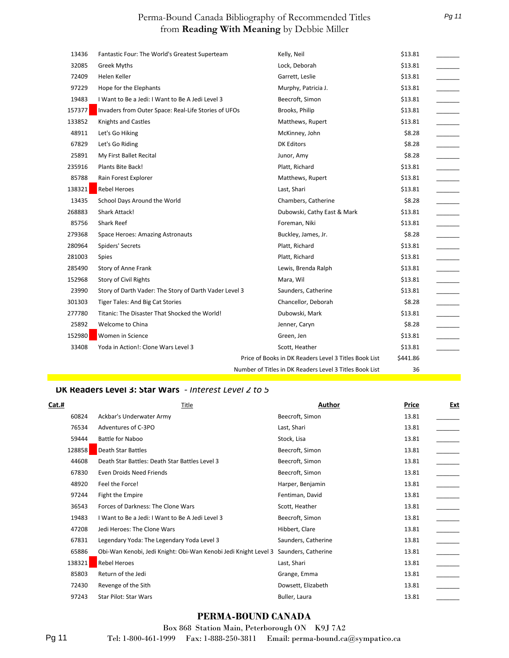| 13436  | Fantastic Four: The World's Greatest Superteam         | Kelly, Neil                                             | \$13.81  |  |
|--------|--------------------------------------------------------|---------------------------------------------------------|----------|--|
| 32085  | <b>Greek Myths</b>                                     | Lock, Deborah                                           | \$13.81  |  |
| 72409  | Helen Keller                                           | Garrett, Leslie                                         | \$13.81  |  |
| 97229  | Hope for the Elephants                                 | Murphy, Patricia J.                                     | \$13.81  |  |
| 19483  | I Want to Be a Jedi: I Want to Be A Jedi Level 3       | Beecroft, Simon                                         | \$13.81  |  |
| 157377 | Invaders from Outer Space: Real-Life Stories of UFOs   | Brooks, Philip                                          | \$13.81  |  |
| 133852 | <b>Knights and Castles</b>                             | Matthews, Rupert                                        | \$13.81  |  |
| 48911  | Let's Go Hiking                                        | McKinney, John                                          | \$8.28   |  |
| 67829  | Let's Go Riding                                        | <b>DK Editors</b>                                       | \$8.28   |  |
| 25891  | My First Ballet Recital                                | Junor, Amy                                              | \$8.28   |  |
| 235916 | Plants Bite Back!                                      | Platt, Richard                                          | \$13.81  |  |
| 85788  | Rain Forest Explorer                                   | Matthews, Rupert                                        | \$13.81  |  |
| 138321 | <b>Rebel Heroes</b>                                    | Last, Shari                                             | \$13.81  |  |
| 13435  | School Days Around the World                           | Chambers, Catherine                                     | \$8.28   |  |
| 268883 | Shark Attack!                                          | Dubowski, Cathy East & Mark                             | \$13.81  |  |
| 85756  | Shark Reef                                             | Foreman, Niki                                           | \$13.81  |  |
| 279368 | Space Heroes: Amazing Astronauts                       | Buckley, James, Jr.                                     | \$8.28   |  |
| 280964 | Spiders' Secrets                                       | Platt, Richard                                          | \$13.81  |  |
| 281003 | Spies                                                  | Platt, Richard                                          | \$13.81  |  |
| 285490 | <b>Story of Anne Frank</b>                             | Lewis, Brenda Ralph                                     | \$13.81  |  |
| 152968 | <b>Story of Civil Rights</b>                           | Mara, Wil                                               | \$13.81  |  |
| 23990  | Story of Darth Vader: The Story of Darth Vader Level 3 | Saunders, Catherine                                     | \$13.81  |  |
| 301303 | <b>Tiger Tales: And Big Cat Stories</b>                | Chancellor, Deborah                                     | \$8.28   |  |
| 277780 | Titanic: The Disaster That Shocked the World!          | Dubowski, Mark                                          | \$13.81  |  |
| 25892  | Welcome to China                                       | Jenner, Caryn                                           | \$8.28   |  |
| 152980 | Women in Science                                       | Green, Jen                                              | \$13.81  |  |
| 33408  | Yoda in Action!: Clone Wars Level 3                    | Scott, Heather                                          | \$13.81  |  |
|        |                                                        | Price of Books in DK Readers Level 3 Titles Book List   | \$441.86 |  |
|        |                                                        | Number of Titles in DK Readers Level 3 Titles Book List | 36       |  |

#### **DK Readers Level 3: Star Wars** *- Interest Level 2 to 5*

| Cat.#  | Title                                                                               | Author              | Price | <u>Ext</u> |
|--------|-------------------------------------------------------------------------------------|---------------------|-------|------------|
| 60824  | Ackbar's Underwater Army                                                            | Beecroft, Simon     | 13.81 |            |
| 76534  | Adventures of C-3PO                                                                 | Last, Shari         | 13.81 |            |
| 59444  | Battle for Naboo                                                                    | Stock, Lisa         | 13.81 |            |
| 128858 | <b>Death Star Battles</b>                                                           | Beecroft, Simon     | 13.81 |            |
| 44608  | Death Star Battles: Death Star Battles Level 3                                      | Beecroft, Simon     | 13.81 |            |
| 67830  | Even Droids Need Friends                                                            | Beecroft, Simon     | 13.81 |            |
| 48920  | Feel the Force!                                                                     | Harper, Benjamin    | 13.81 |            |
| 97244  | Fight the Empire                                                                    | Fentiman, David     | 13.81 |            |
| 36543  | Forces of Darkness: The Clone Wars                                                  | Scott, Heather      | 13.81 |            |
| 19483  | I Want to Be a Jedi: I Want to Be A Jedi Level 3                                    | Beecroft, Simon     | 13.81 |            |
| 47208  | Jedi Heroes: The Clone Wars                                                         | Hibbert, Clare      | 13.81 |            |
| 67831  | Legendary Yoda: The Legendary Yoda Level 3                                          | Saunders, Catherine | 13.81 |            |
| 65886  | Obi-Wan Kenobi, Jedi Knight: Obi-Wan Kenobi Jedi Knight Level 3 Saunders, Catherine |                     | 13.81 |            |
| 138321 | <b>Rebel Heroes</b>                                                                 | Last, Shari         | 13.81 |            |
| 85803  | Return of the Jedi                                                                  | Grange, Emma        | 13.81 |            |
| 72430  | Revenge of the Sith                                                                 | Dowsett, Elizabeth  | 13.81 |            |
| 97243  | Star Pilot: Star Wars                                                               | Buller, Laura       | 13.81 |            |

#### **PERMA-BOUND CANADA**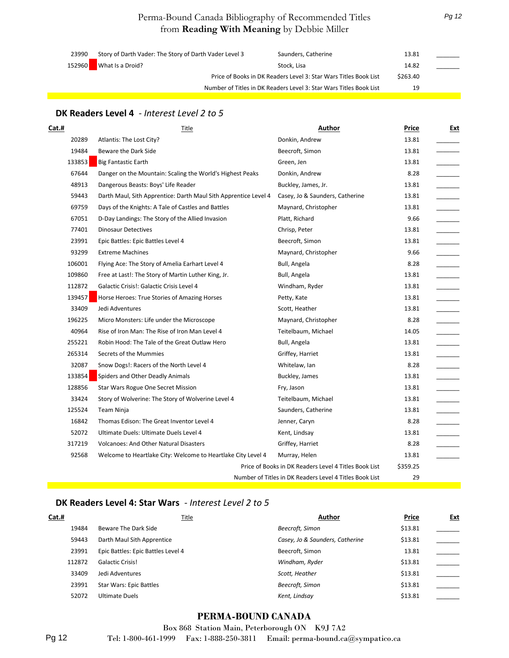| 23990  | Story of Darth Vader: The Story of Darth Vader Level 3             | Saunders, Catherine | 13.81    |  |
|--------|--------------------------------------------------------------------|---------------------|----------|--|
| 152960 | What Is a Droid?                                                   | Stock. Lisa         | 14.82    |  |
|        | Price of Books in DK Readers Level 3: Star Wars Titles Book List   |                     | \$263.40 |  |
|        | Number of Titles in DK Readers Level 3: Star Wars Titles Book List |                     | 19       |  |

#### **DK Readers Level 4** *- Interest Level 2 to 5*

| Cat.#  | Title                                                           | Author                                                  | Price    | Ext |
|--------|-----------------------------------------------------------------|---------------------------------------------------------|----------|-----|
| 20289  | Atlantis: The Lost City?                                        | Donkin, Andrew                                          | 13.81    |     |
| 19484  | Beware the Dark Side                                            | Beecroft, Simon                                         | 13.81    |     |
| 133853 | <b>Big Fantastic Earth</b>                                      | Green, Jen                                              | 13.81    |     |
| 67644  | Danger on the Mountain: Scaling the World's Highest Peaks       | Donkin, Andrew                                          | 8.28     |     |
| 48913  | Dangerous Beasts: Boys' Life Reader                             | Buckley, James, Jr.                                     | 13.81    |     |
| 59443  | Darth Maul, Sith Apprentice: Darth Maul Sith Apprentice Level 4 | Casey, Jo & Saunders, Catherine                         | 13.81    |     |
| 69759  | Days of the Knights: A Tale of Castles and Battles              | Maynard, Christopher                                    | 13.81    |     |
| 67051  | D-Day Landings: The Story of the Allied Invasion                | Platt, Richard                                          | 9.66     |     |
| 77401  | <b>Dinosaur Detectives</b>                                      | Chrisp, Peter                                           | 13.81    |     |
| 23991  | Epic Battles: Epic Battles Level 4                              | Beecroft, Simon                                         | 13.81    |     |
| 93299  | <b>Extreme Machines</b>                                         | Maynard, Christopher                                    | 9.66     |     |
| 106001 | Flying Ace: The Story of Amelia Earhart Level 4                 | Bull, Angela                                            | 8.28     |     |
| 109860 | Free at Last!: The Story of Martin Luther King, Jr.             | Bull, Angela                                            | 13.81    |     |
| 112872 | Galactic Crisis!: Galactic Crisis Level 4                       | Windham, Ryder                                          | 13.81    |     |
| 139457 | Horse Heroes: True Stories of Amazing Horses                    | Petty, Kate                                             | 13.81    |     |
| 33409  | Jedi Adventures                                                 | Scott, Heather                                          | 13.81    |     |
| 196225 | Micro Monsters: Life under the Microscope                       | Maynard, Christopher                                    | 8.28     |     |
| 40964  | Rise of Iron Man: The Rise of Iron Man Level 4                  | Teitelbaum, Michael                                     | 14.05    |     |
| 255221 | Robin Hood: The Tale of the Great Outlaw Hero                   | Bull, Angela                                            | 13.81    |     |
| 265314 | Secrets of the Mummies                                          | Griffey, Harriet                                        | 13.81    |     |
| 32087  | Snow Dogs!: Racers of the North Level 4                         | Whitelaw, Ian                                           | 8.28     |     |
| 133854 | Spiders and Other Deadly Animals                                | Buckley, James                                          | 13.81    |     |
| 128856 | Star Wars Rogue One Secret Mission                              | Fry, Jason                                              | 13.81    |     |
| 33424  | Story of Wolverine: The Story of Wolverine Level 4              | Teitelbaum, Michael                                     | 13.81    |     |
| 125524 | Team Ninja                                                      | Saunders, Catherine                                     | 13.81    |     |
| 16842  | Thomas Edison: The Great Inventor Level 4                       | Jenner, Caryn                                           | 8.28     |     |
| 52072  | Ultimate Duels: Ultimate Duels Level 4                          | Kent, Lindsay                                           | 13.81    |     |
| 317219 | <b>Volcanoes: And Other Natural Disasters</b>                   | Griffey, Harriet                                        | 8.28     |     |
| 92568  | Welcome to Heartlake City: Welcome to Heartlake City Level 4    | Murray, Helen                                           | 13.81    |     |
|        |                                                                 | Price of Books in DK Readers Level 4 Titles Book List   | \$359.25 |     |
|        |                                                                 | Number of Titles in DK Readers Level 4 Titles Book List | 29       |     |

#### **DK Readers Level 4: Star Wars** *- Interest Level 2 to 5*

| <u>Cat.#</u> | Title                              | <b>Author</b>                   | Price   | <u>Ext</u> |
|--------------|------------------------------------|---------------------------------|---------|------------|
| 19484        | Beware The Dark Side               | Beecroft, Simon                 | \$13.81 |            |
| 59443        | Darth Maul Sith Apprentice         | Casey, Jo & Saunders, Catherine | \$13.81 |            |
| 23991        | Epic Battles: Epic Battles Level 4 | Beecroft, Simon                 | 13.81   |            |
| 112872       | <b>Galactic Crisis!</b>            | Windham, Ryder                  | \$13.81 |            |
| 33409        | Jedi Adventures                    | Scott, Heather                  | \$13.81 |            |
| 23991        | <b>Star Wars: Epic Battles</b>     | Beecroft, Simon                 | \$13.81 |            |
| 52072        | <b>Ultimate Duels</b>              | Kent, Lindsay                   | \$13.81 |            |

#### **PERMA-BOUND CANADA**

Box 868 Station Main, Peterborough ON K9J 7A2 Tel: 1-800-461-1999 Fax: 1-888-250-3811 Email: perma-bound.ca@sympatico.ca

Pg 12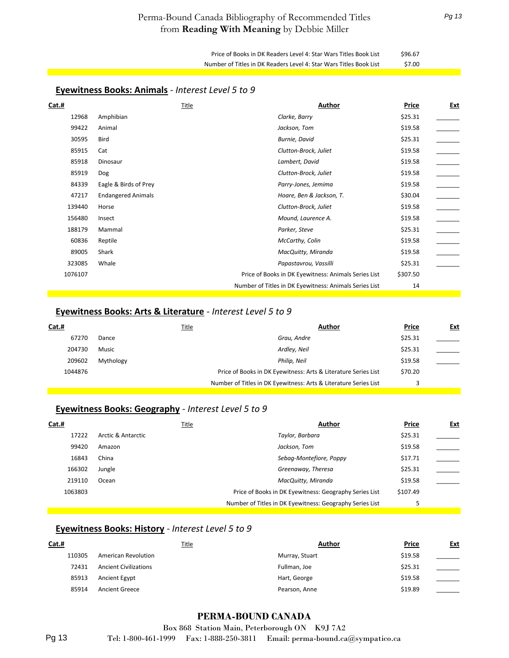Price of Books in DK Readers Level 4: Star Wars Titles Book List \$96.67 Number of Titles in DK Readers Level 4: Star Wars Titles Book List \$7.00

| <b>Eyewitness Books: Animals</b> - Interest Level 5 to 9 |  |
|----------------------------------------------------------|--|
|----------------------------------------------------------|--|

| Cat.#   | Title                     | Author                                                 | Price    | <u>Ext</u> |
|---------|---------------------------|--------------------------------------------------------|----------|------------|
| 12968   | Amphibian                 | Clarke, Barry                                          | \$25.31  |            |
| 99422   | Animal                    | Jackson, Tom                                           | \$19.58  |            |
| 30595   | Bird                      | Burnie, David                                          | \$25.31  |            |
| 85915   | Cat                       | Clutton-Brock, Juliet                                  | \$19.58  |            |
| 85918   | Dinosaur                  | Lambert, David                                         | \$19.58  |            |
| 85919   | <b>Dog</b>                | Clutton-Brock, Juliet                                  | \$19.58  |            |
| 84339   | Eagle & Birds of Prey     | Parry-Jones, Jemima                                    | \$19.58  |            |
| 47217   | <b>Endangered Animals</b> | Hoare, Ben & Jackson, T.                               | \$30.04  |            |
| 139440  | Horse                     | Clutton-Brock, Juliet                                  | \$19.58  |            |
| 156480  | Insect                    | Mound, Laurence A.                                     | \$19.58  |            |
| 188179  | Mammal                    | Parker, Steve                                          | \$25.31  |            |
| 60836   | Reptile                   | McCarthy, Colin                                        | \$19.58  |            |
| 89005   | Shark                     | MacQuitty, Miranda                                     | \$19.58  |            |
| 323085  | Whale                     | Papastavrou, Vassilli                                  | \$25.31  |            |
| 1076107 |                           | Price of Books in DK Eyewitness: Animals Series List   | \$307.50 |            |
|         |                           | Number of Titles in DK Eyewitness: Animals Series List | 14       |            |

#### **Eyewitness Books: Arts & Literature** *- Interest Level 5 to 9*

| Cat.#   |           | <u>Title</u> | Author                                                           | Price   | <u>Ext</u> |
|---------|-----------|--------------|------------------------------------------------------------------|---------|------------|
| 67270   | Dance     |              | Grau, Andre                                                      | \$25.31 |            |
| 204730  | Music     |              | Ardley, Neil                                                     | \$25.31 |            |
| 209602  | Mythology |              | Philip, Neil                                                     | \$19.58 |            |
| 1044876 |           |              | Price of Books in DK Eyewitness: Arts & Literature Series List   | \$70.20 |            |
|         |           |              | Number of Titles in DK Eyewitness: Arts & Literature Series List |         |            |

#### **Eyewitness Books: Geography** *- Interest Level 5 to 9*

| Cat.#   |                    | Title | Author                                                   | Price    | <u>Ext</u> |
|---------|--------------------|-------|----------------------------------------------------------|----------|------------|
| 17222   | Arctic & Antarctic |       | Taylor, Barbara                                          | \$25.31  |            |
| 99420   | Amazon             |       | Jackson, Tom                                             | \$19.58  |            |
| 16843   | China              |       | Sebag-Montefiore, Poppy                                  | \$17.71  |            |
| 166302  | Jungle             |       | Greenaway, Theresa                                       | \$25.31  |            |
| 219110  | Ocean              |       | MacQuitty, Miranda                                       | \$19.58  |            |
| 1063803 |                    |       | Price of Books in DK Eyewitness: Geography Series List   | \$107.49 |            |
|         |                    |       | Number of Titles in DK Eyewitness: Geography Series List |          |            |

#### **Eyewitness Books: History** *- Interest Level 5 to 9*

| <u>Cat.#</u> | Title                        | Author         | Price   | <u>Ext</u> |
|--------------|------------------------------|----------------|---------|------------|
| 110305       | American Revolution          | Murray, Stuart | \$19.58 |            |
| 72431        | <b>Ancient Civilizations</b> | Fullman, Joe   | \$25.31 |            |
| 85913        | Ancient Egypt                | Hart, George   | \$19.58 |            |
| 85914        | <b>Ancient Greece</b>        | Pearson, Anne  | \$19.89 |            |
|              |                              |                |         |            |

#### **PERMA-BOUND CANADA**

Box 868 Station Main, Peterborough ON K9J 7A2 Tel: 1-800-461-1999 Fax: 1-888-250-3811 Email: perma-bound.ca@sympatico.ca

Pg 13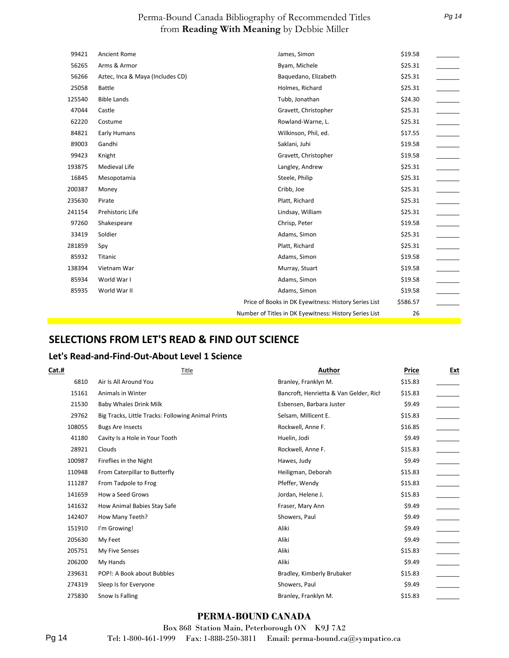| 99421  | <b>Ancient Rome</b>              | James, Simon                                           | \$19.58  |  |
|--------|----------------------------------|--------------------------------------------------------|----------|--|
| 56265  | Arms & Armor                     | Byam, Michele                                          | \$25.31  |  |
| 56266  | Aztec, Inca & Maya (Includes CD) | Baquedano, Elizabeth                                   | \$25.31  |  |
| 25058  | <b>Battle</b>                    | Holmes, Richard                                        | \$25.31  |  |
| 125540 | <b>Bible Lands</b>               | Tubb, Jonathan                                         | \$24.30  |  |
| 47044  | Castle                           | Gravett, Christopher                                   | \$25.31  |  |
| 62220  | Costume                          | Rowland-Warne, L.                                      | \$25.31  |  |
| 84821  | Early Humans                     | Wilkinson, Phil, ed.                                   | \$17.55  |  |
| 89003  | Gandhi                           | Saklani, Juhi                                          | \$19.58  |  |
| 99423  | Knight                           | Gravett, Christopher                                   | \$19.58  |  |
| 193875 | Medieval Life                    | Langley, Andrew                                        | \$25.31  |  |
| 16845  | Mesopotamia                      | Steele, Philip                                         | \$25.31  |  |
| 200387 | Money                            | Cribb, Joe                                             | \$25.31  |  |
| 235630 | Pirate                           | Platt, Richard                                         | \$25.31  |  |
| 241154 | Prehistoric Life                 | Lindsay, William                                       | \$25.31  |  |
| 97260  | Shakespeare                      | Chrisp, Peter                                          | \$19.58  |  |
| 33419  | Soldier                          | Adams, Simon                                           | \$25.31  |  |
| 281859 | Spy                              | Platt, Richard                                         | \$25.31  |  |
| 85932  | Titanic                          | Adams, Simon                                           | \$19.58  |  |
| 138394 | Vietnam War                      | Murray, Stuart                                         | \$19.58  |  |
| 85934  | World War I                      | Adams, Simon                                           | \$19.58  |  |
| 85935  | World War II                     | Adams, Simon                                           | \$19.58  |  |
|        |                                  | Price of Books in DK Eyewitness: History Series List   | \$586.57 |  |
|        |                                  | Number of Titles in DK Eyewitness: History Series List | 26       |  |
|        |                                  |                                                        |          |  |

#### **SELECTIONS FROM LET'S READ & FIND OUT SCIENCE**

#### **Let's Read-and-Find-Out-About Level 1 Science**

| <u>Cat.#</u> | <b>Title</b>                                       | Author                                 | <b>Price</b> | <u>Ext</u> |
|--------------|----------------------------------------------------|----------------------------------------|--------------|------------|
| 6810         | Air Is All Around You                              | Branley, Franklyn M.                   | \$15.83      |            |
| 15161        | Animals in Winter                                  | Bancroft, Henrietta & Van Gelder, Rich | \$15.83      |            |
| 21530        | Baby Whales Drink Milk                             | Esbensen, Barbara Juster               | \$9.49       |            |
| 29762        | Big Tracks, Little Tracks: Following Animal Prints | Selsam, Millicent E.                   | \$15.83      |            |
| 108055       | <b>Bugs Are Insects</b>                            | Rockwell, Anne F.                      | \$16.85      |            |
| 41180        | Cavity Is a Hole in Your Tooth                     | Huelin, Jodi                           | \$9.49       |            |
| 28921        | Clouds                                             | Rockwell, Anne F.                      | \$15.83      |            |
| 100987       | Fireflies in the Night                             | Hawes, Judy                            | \$9.49       |            |
| 110948       | From Caterpillar to Butterfly                      | Heiligman, Deborah                     | \$15.83      |            |
| 111287       | From Tadpole to Frog                               | Pfeffer, Wendy                         | \$15.83      |            |
| 141659       | How a Seed Grows                                   | Jordan, Helene J.                      | \$15.83      |            |
| 141632       | How Animal Babies Stay Safe                        | Fraser, Mary Ann                       | \$9.49       |            |
| 142407       | How Many Teeth?                                    | Showers, Paul                          | \$9.49       |            |
| 151910       | I'm Growing!                                       | Aliki                                  | \$9.49       |            |
| 205630       | My Feet                                            | Aliki                                  | \$9.49       |            |
| 205751       | My Five Senses                                     | Aliki                                  | \$15.83      |            |
| 206200       | My Hands                                           | Aliki                                  | \$9.49       |            |
| 239631       | POP!: A Book about Bubbles                         | Bradley, Kimberly Brubaker             | \$15.83      |            |
| 274319       | Sleep Is for Everyone                              | Showers, Paul                          | \$9.49       |            |
| 275830       | Snow Is Falling                                    | Branley, Franklyn M.                   | \$15.83      |            |

#### **PERMA-BOUND CANADA**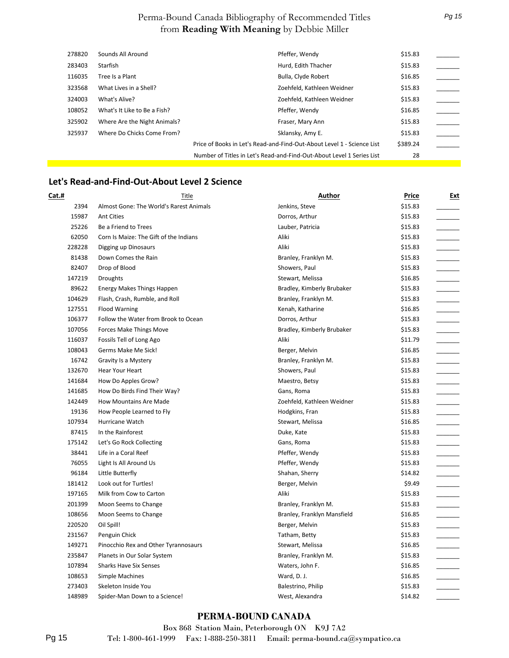| 278820 | Sounds All Around            | Pfeffer, Wendy                                                         | \$15.83  |  |
|--------|------------------------------|------------------------------------------------------------------------|----------|--|
| 283403 | Starfish                     | Hurd, Edith Thacher                                                    | \$15.83  |  |
| 116035 | Tree Is a Plant              | Bulla, Clyde Robert                                                    | \$16.85  |  |
| 323568 | What Lives in a Shell?       | Zoehfeld, Kathleen Weidner                                             | \$15.83  |  |
| 324003 | What's Alive?                | Zoehfeld, Kathleen Weidner                                             | \$15.83  |  |
| 108052 | What's It Like to Be a Fish? | Pfeffer, Wendy                                                         | \$16.85  |  |
| 325902 | Where Are the Night Animals? | Fraser, Mary Ann                                                       | \$15.83  |  |
| 325937 | Where Do Chicks Come From?   | Sklansky, Amy E.                                                       | \$15.83  |  |
|        |                              | Price of Books in Let's Read-and-Find-Out-About Level 1 - Science List | \$389.24 |  |
|        |                              | Number of Titles in Let's Read-and-Find-Out-About Level 1 Series List  | 28       |  |

#### **Let's Read-and-Find-Out-About Level 2 Science**

| Cat.#  | <b>Title</b>                            | Author                      | Price   | Ext |
|--------|-----------------------------------------|-----------------------------|---------|-----|
| 2394   | Almost Gone: The World's Rarest Animals | Jenkins, Steve              | \$15.83 |     |
| 15987  | <b>Ant Cities</b>                       | Dorros, Arthur              | \$15.83 |     |
| 25226  | Be a Friend to Trees                    | Lauber, Patricia            | \$15.83 |     |
| 62050  | Corn Is Maize: The Gift of the Indians  | Aliki                       | \$15.83 |     |
| 228228 | Digging up Dinosaurs                    | Aliki                       | \$15.83 |     |
| 81438  | Down Comes the Rain                     | Branley, Franklyn M.        | \$15.83 |     |
| 82407  | Drop of Blood                           | Showers, Paul               | \$15.83 |     |
| 147219 | Droughts                                | Stewart, Melissa            | \$16.85 |     |
| 89622  | Energy Makes Things Happen              | Bradley, Kimberly Brubaker  | \$15.83 |     |
| 104629 | Flash, Crash, Rumble, and Roll          | Branley, Franklyn M.        | \$15.83 |     |
| 127551 | <b>Flood Warning</b>                    | Kenah, Katharine            | \$16.85 |     |
| 106377 | Follow the Water from Brook to Ocean    | Dorros, Arthur              | \$15.83 |     |
| 107056 | Forces Make Things Move                 | Bradley, Kimberly Brubaker  | \$15.83 |     |
| 116037 | Fossils Tell of Long Ago                | Aliki                       | \$11.79 |     |
| 108043 | Germs Make Me Sick!                     | Berger, Melvin              | \$16.85 |     |
| 16742  | Gravity Is a Mystery                    | Branley, Franklyn M.        | \$15.83 |     |
| 132670 | Hear Your Heart                         | Showers, Paul               | \$15.83 |     |
| 141684 | How Do Apples Grow?                     | Maestro, Betsy              | \$15.83 |     |
| 141685 | How Do Birds Find Their Way?            | Gans, Roma                  | \$15.83 |     |
| 142449 | <b>How Mountains Are Made</b>           | Zoehfeld, Kathleen Weidner  | \$15.83 |     |
| 19136  | How People Learned to Fly               | Hodgkins, Fran              | \$15.83 |     |
| 107934 | Hurricane Watch                         | Stewart, Melissa            | \$16.85 |     |
| 87415  | In the Rainforest                       | Duke, Kate                  | \$15.83 |     |
| 175142 | Let's Go Rock Collecting                | Gans, Roma                  | \$15.83 |     |
| 38441  | Life in a Coral Reef                    | Pfeffer, Wendy              | \$15.83 |     |
| 76055  | Light Is All Around Us                  | Pfeffer, Wendy              | \$15.83 |     |
| 96184  | Little Butterfly                        | Shahan, Sherry              | \$14.82 |     |
| 181412 | Look out for Turtles!                   | Berger, Melvin              | \$9.49  |     |
| 197165 | Milk from Cow to Carton                 | Aliki                       | \$15.83 |     |
| 201399 | Moon Seems to Change                    | Branley, Franklyn M.        | \$15.83 |     |
| 108656 | Moon Seems to Change                    | Branley, Franklyn Mansfield | \$16.85 |     |
| 220520 | Oil Spill!                              | Berger, Melvin              | \$15.83 |     |
| 231567 | Penguin Chick                           | Tatham, Betty               | \$15.83 |     |
| 149271 | Pinocchio Rex and Other Tyrannosaurs    | Stewart, Melissa            | \$16.85 |     |
| 235847 | Planets in Our Solar System             | Branley, Franklyn M.        | \$15.83 |     |
| 107894 | <b>Sharks Have Six Senses</b>           | Waters, John F.             | \$16.85 |     |
| 108653 | Simple Machines                         | Ward, D. J.                 | \$16.85 |     |
| 273403 | Skeleton Inside You                     | Balestrino, Philip          | \$15.83 |     |
| 148989 | Spider-Man Down to a Science!           | West, Alexandra             | \$14.82 |     |

#### **PERMA-BOUND CANADA**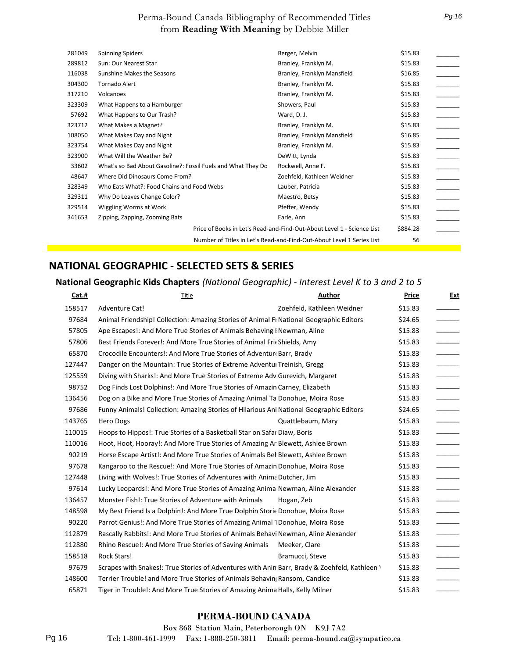| 281049                                                                | <b>Spinning Spiders</b>                                      | Berger, Melvin                                                         | \$15.83  |  |
|-----------------------------------------------------------------------|--------------------------------------------------------------|------------------------------------------------------------------------|----------|--|
|                                                                       |                                                              |                                                                        |          |  |
| 289812                                                                | Sun: Our Nearest Star                                        | Branley, Franklyn M.                                                   | \$15.83  |  |
| 116038                                                                | Sunshine Makes the Seasons                                   | Branley, Franklyn Mansfield                                            | \$16.85  |  |
| 304300                                                                | <b>Tornado Alert</b>                                         | Branley, Franklyn M.                                                   | \$15.83  |  |
| 317210                                                                | Volcanoes                                                    | Branley, Franklyn M.                                                   | \$15.83  |  |
| 323309                                                                | What Happens to a Hamburger                                  | Showers, Paul                                                          | \$15.83  |  |
| 57692                                                                 | What Happens to Our Trash?                                   | Ward, D. J.                                                            | \$15.83  |  |
| 323712                                                                | What Makes a Magnet?                                         | Branley, Franklyn M.                                                   | \$15.83  |  |
| 108050                                                                | What Makes Day and Night                                     | Branley, Franklyn Mansfield                                            | \$16.85  |  |
| 323754                                                                | What Makes Day and Night                                     | Branley, Franklyn M.                                                   | \$15.83  |  |
| 323900                                                                | What Will the Weather Be?                                    | DeWitt, Lynda                                                          | \$15.83  |  |
| 33602                                                                 | What's so Bad About Gasoline?: Fossil Fuels and What They Do | Rockwell, Anne F.                                                      | \$15.83  |  |
| 48647                                                                 | Where Did Dinosaurs Come From?                               | Zoehfeld, Kathleen Weidner                                             | \$15.83  |  |
| 328349                                                                | Who Eats What?: Food Chains and Food Webs                    | Lauber, Patricia                                                       | \$15.83  |  |
| 329311                                                                | Why Do Leaves Change Color?                                  | Maestro, Betsy                                                         | \$15.83  |  |
| 329514                                                                | Wiggling Worms at Work                                       | Pfeffer, Wendy                                                         | \$15.83  |  |
| 341653                                                                | Zipping, Zapping, Zooming Bats                               | Earle, Ann                                                             | \$15.83  |  |
|                                                                       |                                                              | Price of Books in Let's Read-and-Find-Out-About Level 1 - Science List | \$884.28 |  |
| Number of Titles in Let's Read-and-Find-Out-About Level 1 Series List |                                                              | 56                                                                     |          |  |

#### **NATIONAL GEOGRAPHIC - SELECTED SETS & SERIES**

#### **National Geographic Kids Chapters** *(National Geographic) - Interest Level K to 3 and 2 to 5*

| Cat.#  | Title                                                                                         | Author                     | Price   | <u>Ext</u> |
|--------|-----------------------------------------------------------------------------------------------|----------------------------|---------|------------|
| 158517 | Adventure Cat!                                                                                | Zoehfeld, Kathleen Weidner | \$15.83 |            |
| 97684  | Animal Friendship! Collection: Amazing Stories of Animal Fr National Geographic Editors       |                            | \$24.65 |            |
| 57805  | Ape Escapes!: And More True Stories of Animals Behaving I Newman, Aline                       |                            | \$15.83 |            |
| 57806  | Best Friends Forever!: And More True Stories of Animal Fric Shields, Amy                      |                            | \$15.83 |            |
| 65870  | Crocodile Encounters!: And More True Stories of Adventur Barr, Brady                          |                            | \$15.83 |            |
| 127447 | Danger on the Mountain: True Stories of Extreme Adventui Treinish, Gregg                      |                            | \$15.83 |            |
| 125559 | Diving with Sharks!: And More True Stories of Extreme Adv Gurevich, Margaret                  |                            | \$15.83 |            |
| 98752  | Dog Finds Lost Dolphins!: And More True Stories of Amazin Carney, Elizabeth                   |                            | \$15.83 |            |
| 136456 | Dog on a Bike and More True Stories of Amazing Animal Ta Donohue, Moira Rose                  |                            | \$15.83 |            |
| 97686  | Funny Animals! Collection: Amazing Stories of Hilarious Ani National Geographic Editors       |                            | \$24.65 |            |
| 143765 | Hero Dogs                                                                                     | Quattlebaum, Mary          | \$15.83 |            |
| 110015 | Hoops to Hippos!: True Stories of a Basketball Star on Safar Diaw, Boris                      |                            | \$15.83 |            |
| 110016 | Hoot, Hoot, Hooray!: And More True Stories of Amazing Ar Blewett, Ashlee Brown                |                            | \$15.83 |            |
| 90219  | Horse Escape Artist!: And More True Stories of Animals Bel Blewett, Ashlee Brown              |                            | \$15.83 |            |
| 97678  | Kangaroo to the Rescue!: And More True Stories of Amazin Donohue, Moira Rose                  |                            | \$15.83 |            |
| 127448 | Living with Wolves!: True Stories of Adventures with Anima Dutcher, Jim                       |                            | \$15.83 |            |
| 97614  | Lucky Leopards!: And More True Stories of Amazing Anima Newman, Aline Alexander               |                            | \$15.83 |            |
| 136457 | Monster Fish!: True Stories of Adventure with Animals                                         | Hogan, Zeb                 | \$15.83 |            |
| 148598 | My Best Friend Is a Dolphin!: And More True Dolphin Storie Donohue, Moira Rose                |                            | \$15.83 |            |
| 90220  | Parrot Genius!: And More True Stories of Amazing Animal 1Donohue, Moira Rose                  |                            | \$15.83 |            |
| 112879 | Rascally Rabbits!: And More True Stories of Animals Behavi Newman, Aline Alexander            |                            | \$15.83 |            |
| 112880 | Rhino Rescue!: And More True Stories of Saving Animals                                        | Meeker, Clare              | \$15.83 |            |
| 158518 | Rock Stars!                                                                                   | Bramucci, Steve            | \$15.83 |            |
| 97679  | Scrapes with Snakes!: True Stories of Adventures with Anin Barr, Brady & Zoehfeld, Kathleen \ |                            | \$15.83 |            |
| 148600 | Terrier Trouble! and More True Stories of Animals Behavin Ransom, Candice                     |                            | \$15.83 |            |
| 65871  | Tiger in Trouble!: And More True Stories of Amazing Anima Halls, Kelly Milner                 |                            | \$15.83 |            |

#### **PERMA-BOUND CANADA**

Box 868 Station Main, Peterborough ON K9J 7A2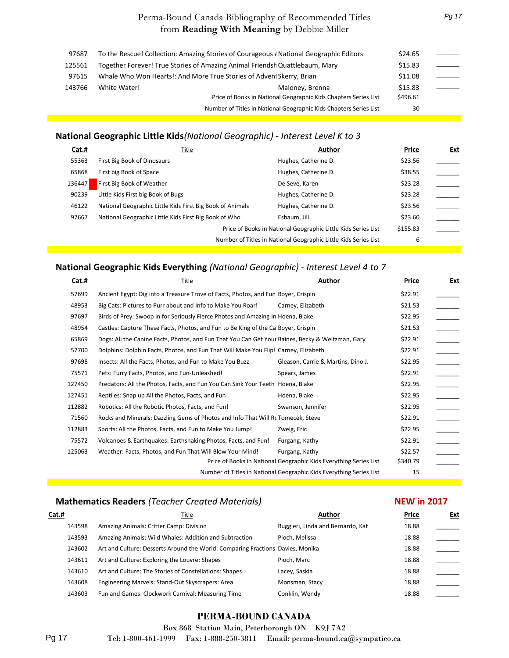| 97687  | To the Rescue! Collection: Amazing Stories of Courageous / National Geographic Editors |    |  |
|--------|----------------------------------------------------------------------------------------|----|--|
| 125561 | Together Forever! True Stories of Amazing Animal Friendsh Quattlebaum, Mary            |    |  |
| 97615  | Whale Who Won Hearts!: And More True Stories of Advent Skerry, Brian                   |    |  |
| 143766 | White Water!<br>Maloney, Brenna                                                        |    |  |
|        | Price of Books in National Geographic Kids Chapters Series List                        |    |  |
|        | Number of Titles in National Geographic Kids Chapters Series List                      | 30 |  |

#### **National Geographic Little Kids***(National Geographic) - Interest Level K to 3*

| Cat.#  | Title                                                     | Author                                                          | Price    | Ext |
|--------|-----------------------------------------------------------|-----------------------------------------------------------------|----------|-----|
| 55363  | First Big Book of Dinosaurs                               | Hughes, Catherine D.                                            | \$23.56  |     |
| 65868  | First big Book of Space                                   | Hughes, Catherine D.                                            | \$38.55  |     |
| 136447 | First Big Book of Weather                                 | De Seve, Karen                                                  | \$23.28  |     |
| 90239  | Little Kids First big Book of Bugs                        | Hughes, Catherine D.                                            | \$23.28  |     |
| 46122  | National Geographic Little Kids First Big Book of Animals | Hughes, Catherine D.                                            | \$23.56  |     |
| 97667  | National Geographic Little Kids First Big Book of Who     | Esbaum, Jill                                                    | \$23.60  |     |
|        |                                                           | Price of Books in National Geographic Little Kids Series List   | \$155.83 |     |
|        |                                                           | Number of Titles in National Geographic Little Kids Series List | 6        |     |

#### **National Geographic Kids Everything** *(National Geographic) - Interest Level 4 to 7*

| <u>Cat.#</u> | Title                                                                                            | Author                                                              | Price    | <u>Ext</u> |
|--------------|--------------------------------------------------------------------------------------------------|---------------------------------------------------------------------|----------|------------|
| 57699        | Ancient Egypt: Dig into a Treasure Trove of Facts, Photos, and Fun Boyer, Crispin                |                                                                     | \$22.91  |            |
| 48953        | Big Cats: Pictures to Purr about and Info to Make You Roar!                                      | Carney, Elizabeth                                                   | \$21.53  |            |
| 97697        | Birds of Prey: Swoop in for Seriously Fierce Photos and Amazing In Hoena, Blake                  |                                                                     | \$22.95  |            |
| 48954        | Castles: Capture These Facts, Photos, and Fun to Be King of the Ca Boyer, Crispin                |                                                                     | \$21.53  |            |
| 65869        | Dogs: All the Canine Facts, Photos, and Fun That You Can Get Your Baines, Becky & Weitzman, Gary |                                                                     | \$22.91  |            |
| 57700        | Dolphins: Dolphin Facts, Photos, and Fun That Will Make You Flip! Carney, Elizabeth              |                                                                     | \$22.91  |            |
| 97698        | Insects: All the Facts, Photos, and Fun to Make You Buzz                                         | Gleason, Carrie & Martins, Dino J.                                  | \$22.95  |            |
| 75571        | Pets: Furry Facts, Photos, and Fun-Unleashed!                                                    | Spears, James                                                       | \$22.91  |            |
| 127450       | Predators: All the Photos, Facts, and Fun You Can Sink Your Teeth Hoena, Blake                   |                                                                     | \$22.95  |            |
| 127451       | Reptiles: Snap up All the Photos, Facts, and Fun                                                 | Hoena, Blake                                                        | \$22.95  |            |
| 112882       | Robotics: All the Robotic Photos, Facts, and Fun!                                                | Swanson, Jennifer                                                   | \$22.95  |            |
| 71560        | Rocks and Minerals: Dazzling Gems of Photos and Info That Will Rc Tomecek, Steve                 |                                                                     | \$22.91  |            |
| 112883       | Sports: All the Photos, Facts, and Fun to Make You Jump!                                         | Zweig, Eric                                                         | \$22.95  |            |
| 75572        | Volcanoes & Earthquakes: Earthshaking Photos, Facts, and Fun!                                    | Furgang, Kathy                                                      | \$22.91  |            |
| 125063       | Weather: Facts, Photos, and Fun That Will Blow Your Mind!                                        | Furgang, Kathy                                                      | \$22.57  |            |
|              |                                                                                                  | Price of Books in National Geographic Kids Everything Series List   | \$340.79 |            |
|              |                                                                                                  | Number of Titles in National Geographic Kids Everything Series List | 15       |            |

#### **Mathematics Readers** *(Teacher Created Materials)*

#### **NEW in 2017**

*Pg 17*

| Cat.# |        | Title                                                                          | Author                            | Price | Ext |
|-------|--------|--------------------------------------------------------------------------------|-----------------------------------|-------|-----|
|       | 143598 | Amazing Animals: Critter Camp: Division                                        | Ruggieri, Linda and Bernardo, Kat | 18.88 |     |
|       | 143593 | Amazing Animals: Wild Whales: Addition and Subtraction                         | Pioch, Melissa                    | 18.88 |     |
|       | 143602 | Art and Culture: Desserts Around the World: Comparing Fractions Davies, Monika |                                   | 18.88 |     |
|       | 143611 | Art and Culture: Exploring the Louvre: Shapes                                  | Pioch, Marc                       | 18.88 |     |
|       | 143610 | Art and Culture: The Stories of Constellations: Shapes                         | Lacey, Saskia                     | 18.88 |     |
|       | 143608 | Engineering Marvels: Stand-Out Skyscrapers: Area                               | Monsman, Stacy                    | 18.88 |     |
|       | 143603 | Fun and Games: Clockwork Carnival: Measuring Time                              | Conklin, Wendy                    | 18.88 |     |

#### **PERMA-BOUND CANADA**

Box 868 Station Main, Peterborough ON K9J 7A2

Tel: 1-800-461-1999 Fax: 1-888-250-3811 Email: perma-bound.ca@sympatico.ca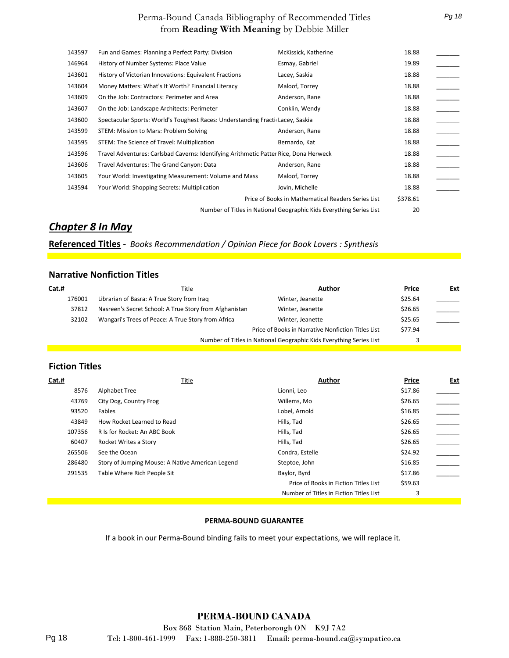| 143597 | Fun and Games: Planning a Perfect Party: Division                                     | McKissick, Katherine                                                | 18.88    |  |
|--------|---------------------------------------------------------------------------------------|---------------------------------------------------------------------|----------|--|
| 146964 | History of Number Systems: Place Value                                                | Esmay, Gabriel                                                      | 19.89    |  |
| 143601 | History of Victorian Innovations: Equivalent Fractions                                | Lacey, Saskia                                                       | 18.88    |  |
| 143604 | Money Matters: What's It Worth? Financial Literacy                                    | Maloof, Torrey                                                      | 18.88    |  |
| 143609 | On the Job: Contractors: Perimeter and Area                                           | Anderson, Rane                                                      | 18.88    |  |
| 143607 | On the Job: Landscape Architects: Perimeter                                           | Conklin, Wendy                                                      | 18.88    |  |
| 143600 | Spectacular Sports: World's Toughest Races: Understanding Fracti Lacey, Saskia        |                                                                     | 18.88    |  |
| 143599 | STEM: Mission to Mars: Problem Solving                                                | Anderson, Rane                                                      | 18.88    |  |
| 143595 | STEM: The Science of Travel: Multiplication                                           | Bernardo, Kat                                                       | 18.88    |  |
| 143596 | Travel Adventures: Carlsbad Caverns: Identifying Arithmetic Patter Rice, Dona Herweck |                                                                     | 18.88    |  |
| 143606 | Travel Adventures: The Grand Canyon: Data                                             | Anderson, Rane                                                      | 18.88    |  |
| 143605 | Your World: Investigating Measurement: Volume and Mass                                | Maloof, Torrey                                                      | 18.88    |  |
| 143594 | Your World: Shopping Secrets: Multiplication                                          | Jovin, Michelle                                                     | 18.88    |  |
|        |                                                                                       | Price of Books in Mathematical Readers Series List                  | \$378.61 |  |
|        |                                                                                       | Number of Titles in National Geographic Kids Everything Series List | 20       |  |
|        |                                                                                       |                                                                     |          |  |

#### *Chapter 8 In May*

**Referenced Titles** *- Books Recommendation / Opinion Piece for Book Lovers : Synthesis*

#### **Narrative Nonfiction Titles**

| Cat.#  | Title                                                  | Author                                                              | Price   | Ext |
|--------|--------------------------------------------------------|---------------------------------------------------------------------|---------|-----|
| 176001 | Librarian of Basra: A True Story from Irag             | Winter, Jeanette                                                    | \$25.64 |     |
| 37812  | Nasreen's Secret School: A True Story from Afghanistan | Winter, Jeanette                                                    | \$26.65 |     |
| 32102  | Wangari's Trees of Peace: A True Story from Africa     | Winter, Jeanette                                                    | \$25.65 |     |
|        |                                                        | Price of Books in Narrative Nonfiction Titles List                  | \$77.94 |     |
|        |                                                        | Number of Titles in National Geographic Kids Everything Series List |         |     |

#### **Fiction Titles**

| Cat.#  | Title                                            | Author                                  | Price   | Ext |
|--------|--------------------------------------------------|-----------------------------------------|---------|-----|
| 8576   | Alphabet Tree                                    | Lionni, Leo                             | \$17.86 |     |
| 43769  | City Dog, Country Frog                           | Willems, Mo                             | \$26.65 |     |
| 93520  | Fables                                           | Lobel, Arnold                           | \$16.85 |     |
| 43849  | How Rocket Learned to Read                       | Hills, Tad                              | \$26.65 |     |
| 107356 | R Is for Rocket: An ABC Book                     | Hills, Tad                              | \$26.65 |     |
| 60407  | Rocket Writes a Story                            | Hills, Tad                              | \$26.65 |     |
| 265506 | See the Ocean                                    | Condra, Estelle                         | \$24.92 |     |
| 286480 | Story of Jumping Mouse: A Native American Legend | Steptoe, John                           | \$16.85 |     |
| 291535 | Table Where Rich People Sit                      | Baylor, Byrd                            | \$17.86 |     |
|        |                                                  | Price of Books in Fiction Titles List   | \$59.63 |     |
|        |                                                  | Number of Titles in Fiction Titles List | 3       |     |

#### **PERMA-BOUND GUARANTEE**

If a book in our Perma-Bound binding fails to meet your expectations, we will replace it.

#### **PERMA-BOUND CANADA**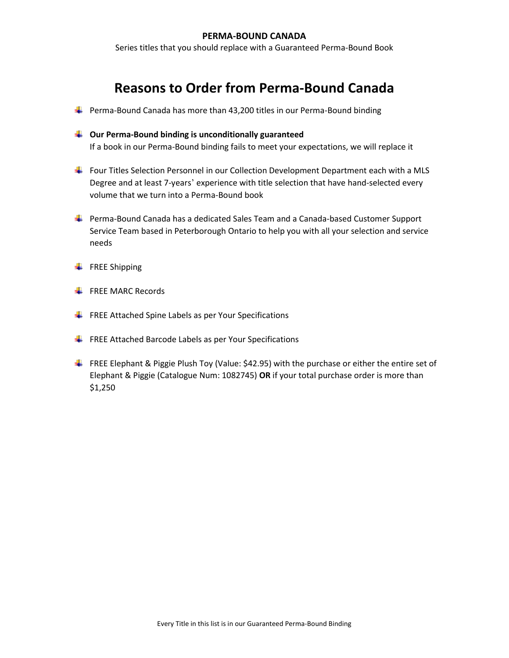#### **PERMA-BOUND CANADA**

Series titles that you should replace with a Guaranteed Perma-Bound Book

## **Reasons to Order from Perma-Bound Canada**

- $\ddot{\phantom{1}}$  Perma-Bound Canada has more than 43,200 titles in our Perma-Bound binding
- **Our Perma-Bound binding is unconditionally guaranteed** If a book in our Perma-Bound binding fails to meet your expectations, we will replace it
- Four Titles Selection Personnel in our Collection Development Department each with a MLS Degree and at least 7-years' experience with title selection that have hand-selected every volume that we turn into a Perma-Bound book
- Perma-Bound Canada has a dedicated Sales Team and a Canada-based Customer Support Service Team based in Peterborough Ontario to help you with all your selection and service needs
- $\leftarrow$  FREE Shipping
- $\leftarrow$  FREE MARC Records
- $\frac{1}{2}$  FREE Attached Spine Labels as per Your Specifications
- $\ddot{\phantom{1}}$  FREE Attached Barcode Labels as per Your Specifications
- FREE Elephant & Piggie Plush Toy (Value: \$42.95) with the purchase or either the entire set of Elephant & Piggie (Catalogue Num: 1082745) **OR** if your total purchase order is more than \$1,250